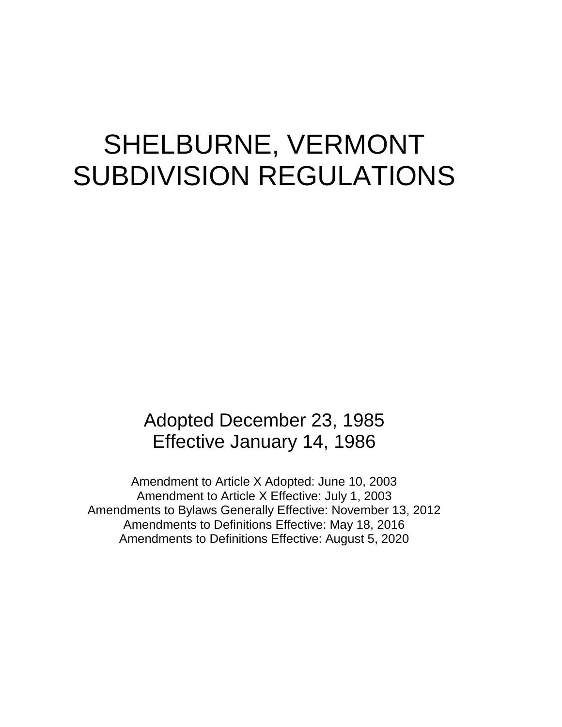# SHELBURNE, VERMONT SUBDIVISION REGULATIONS

# Adopted December 23, 1985 Effective January 14, 1986

Amendment to Article X Adopted: June 10, 2003 Amendment to Article X Effective: July 1, 2003 Amendments to Bylaws Generally Effective: November 13, 2012 Amendments to Definitions Effective: May 18, 2016 Amendments to Definitions Effective: August 5, 2020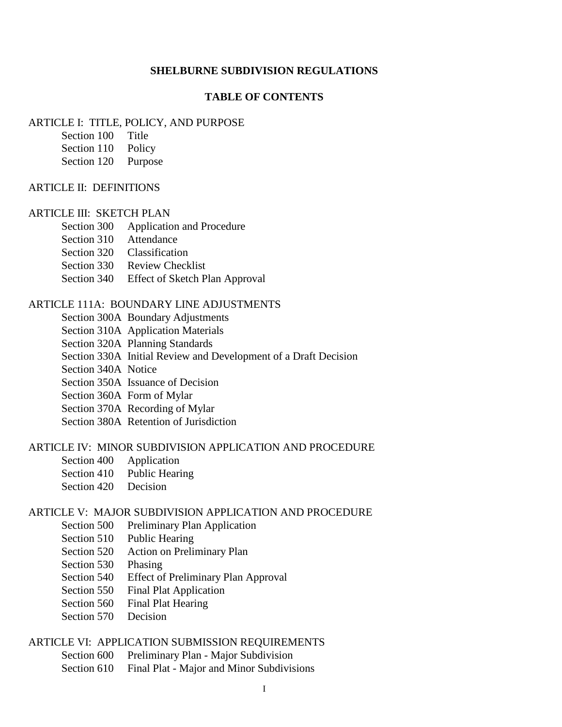#### **SHELBURNE SUBDIVISION REGULATIONS**

#### **TABLE OF CONTENTS**

#### ARTICLE I: TITLE, POLICY, AND PURPOSE

- Section 100 Title
- Section 110 Policy
- Section 120 Purpose

#### ARTICLE II: DEFINITIONS

#### ARTICLE III: SKETCH PLAN

- Section 300 Application and Procedure
- Section 310 Attendance
- Section 320 Classification
- Section 330 Review Checklist
- Section 340 Effect of Sketch Plan Approval

#### ARTICLE 111A: BOUNDARY LINE ADJUSTMENTS

- Section 300A Boundary Adjustments
- Section 310A Application Materials
- Section 320A Planning Standards
- Section 330A Initial Review and Development of a Draft Decision
- Section 340A Notice
- Section 350A Issuance of Decision
- Section 360A Form of Mylar
- Section 370A Recording of Mylar
- Section 380A Retention of Jurisdiction

#### ARTICLE IV: MINOR SUBDIVISION APPLICATION AND PROCEDURE

- Section 400 Application
- Section 410 Public Hearing
- Section 420 Decision

#### ARTICLE V: MAJOR SUBDIVISION APPLICATION AND PROCEDURE

- Section 500 Preliminary Plan Application
- Section 510 Public Hearing
- Section 520 Action on Preliminary Plan
- Section 530 Phasing
- Section 540 Effect of Preliminary Plan Approval
- Section 550 Final Plat Application
- Section 560 Final Plat Hearing
- Section 570 Decision

#### ARTICLE VI: APPLICATION SUBMISSION REQUIREMENTS

- Section 600 Preliminary Plan Major Subdivision
- Section 610 Final Plat Major and Minor Subdivisions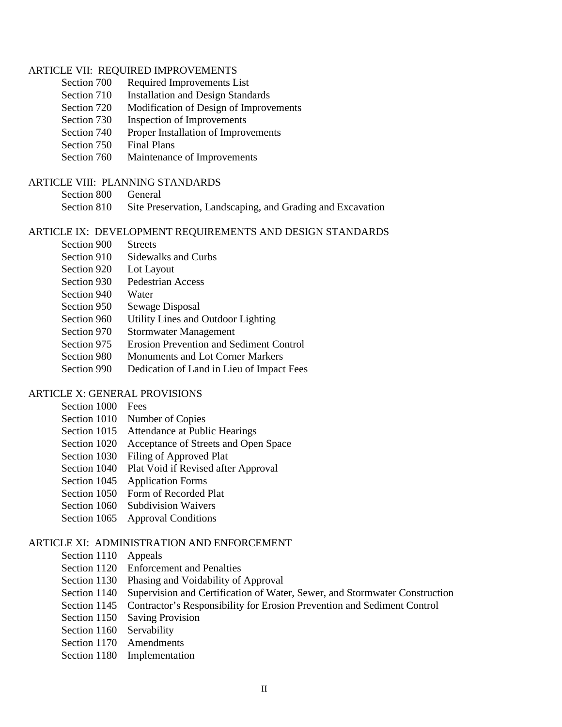#### ARTICLE VII: REQUIRED IMPROVEMENTS

- Section 700 Required Improvements List
- Section 710 Installation and Design Standards
- Section 720 Modification of Design of Improvements
- Section 730 Inspection of Improvements
- Section 740 Proper Installation of Improvements
- Section 750 Final Plans
- Section 760 Maintenance of Improvements

#### ARTICLE VIII: PLANNING STANDARDS

- Section 800 General
- Section 810 Site Preservation, Landscaping, and Grading and Excavation

#### ARTICLE IX: DEVELOPMENT REQUIREMENTS AND DESIGN STANDARDS

- Section 900 Streets
- Section 910 Sidewalks and Curbs
- Section 920 Lot Layout
- Section 930 Pedestrian Access
- Section 940 Water
- Section 950 Sewage Disposal
- Section 960 Utility Lines and Outdoor Lighting
- Section 970 Stormwater Management
- Section 975 Erosion Prevention and Sediment Control
- Section 980 Monuments and Lot Corner Markers
- Section 990 Dedication of Land in Lieu of Impact Fees

#### ARTICLE X: GENERAL PROVISIONS

- Section 1000 Fees
- Section 1010 Number of Copies
- Section 1015 Attendance at Public Hearings
- Section 1020 Acceptance of Streets and Open Space
- Section 1030 Filing of Approved Plat
- Section 1040 Plat Void if Revised after Approval
- Section 1045 Application Forms
- Section 1050 Form of Recorded Plat
- Section 1060 Subdivision Waivers
- Section 1065 Approval Conditions

#### ARTICLE XI: ADMINISTRATION AND ENFORCEMENT

- Section 1110 Appeals
- Section 1120 Enforcement and Penalties
- Section 1130 Phasing and Voidability of Approval
- Section 1140 Supervision and Certification of Water, Sewer, and Stormwater Construction
- Section 1145 Contractor's Responsibility for Erosion Prevention and Sediment Control
- Section 1150 Saving Provision
- Section 1160 Servability
- Section 1170 Amendments
- Section 1180 Implementation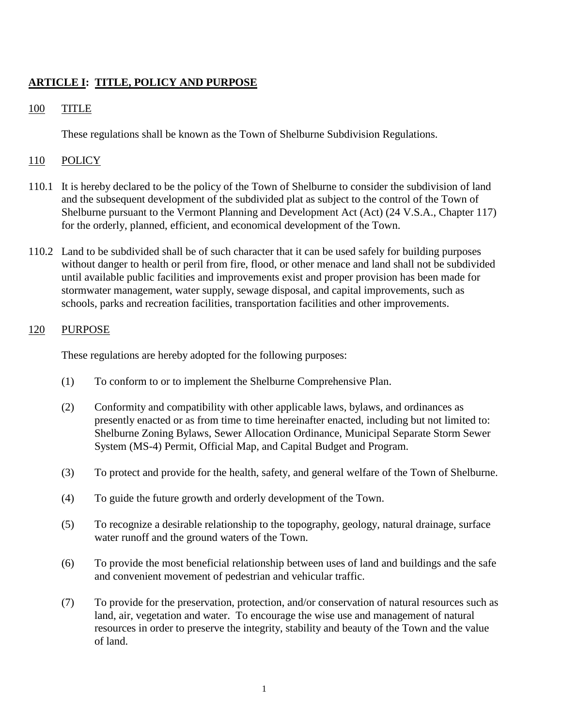# **ARTICLE I: TITLE, POLICY AND PURPOSE**

# 100 TITLE

These regulations shall be known as the Town of Shelburne Subdivision Regulations.

# 110 POLICY

- 110.1 It is hereby declared to be the policy of the Town of Shelburne to consider the subdivision of land and the subsequent development of the subdivided plat as subject to the control of the Town of Shelburne pursuant to the Vermont Planning and Development Act (Act) (24 V.S.A., Chapter 117) for the orderly, planned, efficient, and economical development of the Town.
- 110.2 Land to be subdivided shall be of such character that it can be used safely for building purposes without danger to health or peril from fire, flood, or other menace and land shall not be subdivided until available public facilities and improvements exist and proper provision has been made for stormwater management, water supply, sewage disposal, and capital improvements, such as schools, parks and recreation facilities, transportation facilities and other improvements.

# 120 PURPOSE

These regulations are hereby adopted for the following purposes:

- (1) To conform to or to implement the Shelburne Comprehensive Plan.
- (2) Conformity and compatibility with other applicable laws, bylaws, and ordinances as presently enacted or as from time to time hereinafter enacted, including but not limited to: Shelburne Zoning Bylaws, Sewer Allocation Ordinance, Municipal Separate Storm Sewer System (MS-4) Permit, Official Map, and Capital Budget and Program.
- (3) To protect and provide for the health, safety, and general welfare of the Town of Shelburne.
- (4) To guide the future growth and orderly development of the Town.
- (5) To recognize a desirable relationship to the topography, geology, natural drainage, surface water runoff and the ground waters of the Town.
- (6) To provide the most beneficial relationship between uses of land and buildings and the safe and convenient movement of pedestrian and vehicular traffic.
- (7) To provide for the preservation, protection, and/or conservation of natural resources such as land, air, vegetation and water. To encourage the wise use and management of natural resources in order to preserve the integrity, stability and beauty of the Town and the value of land.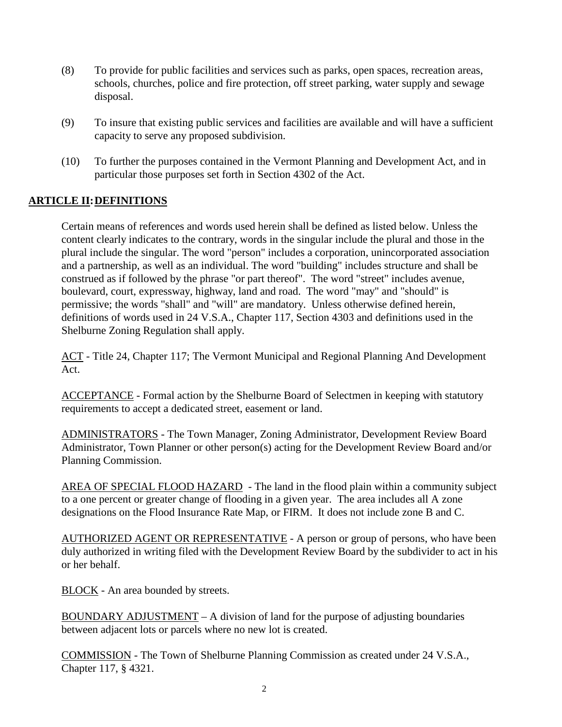- (8) To provide for public facilities and services such as parks, open spaces, recreation areas, schools, churches, police and fire protection, off street parking, water supply and sewage disposal.
- (9) To insure that existing public services and facilities are available and will have a sufficient capacity to serve any proposed subdivision.
- (10) To further the purposes contained in the Vermont Planning and Development Act, and in particular those purposes set forth in Section 4302 of the Act.

# **ARTICLE II:DEFINITIONS**

Certain means of references and words used herein shall be defined as listed below. Unless the content clearly indicates to the contrary, words in the singular include the plural and those in the plural include the singular. The word "person" includes a corporation, unincorporated association and a partnership, as well as an individual. The word "building" includes structure and shall be construed as if followed by the phrase "or part thereof". The word "street" includes avenue, boulevard, court, expressway, highway, land and road. The word "may" and "should" is permissive; the words "shall" and "will" are mandatory. Unless otherwise defined herein, definitions of words used in 24 V.S.A., Chapter 117, Section 4303 and definitions used in the Shelburne Zoning Regulation shall apply.

ACT - Title 24, Chapter 117; The Vermont Municipal and Regional Planning And Development Act.

ACCEPTANCE - Formal action by the Shelburne Board of Selectmen in keeping with statutory requirements to accept a dedicated street, easement or land.

ADMINISTRATORS - The Town Manager, Zoning Administrator, Development Review Board Administrator, Town Planner or other person(s) acting for the Development Review Board and/or Planning Commission.

AREA OF SPECIAL FLOOD HAZARD - The land in the flood plain within a community subject to a one percent or greater change of flooding in a given year. The area includes all A zone designations on the Flood Insurance Rate Map, or FIRM. It does not include zone B and C.

AUTHORIZED AGENT OR REPRESENTATIVE - A person or group of persons, who have been duly authorized in writing filed with the Development Review Board by the subdivider to act in his or her behalf.

BLOCK - An area bounded by streets.

BOUNDARY ADJUSTMENT – A division of land for the purpose of adjusting boundaries between adjacent lots or parcels where no new lot is created.

COMMISSION - The Town of Shelburne Planning Commission as created under 24 V.S.A., Chapter 117, § 4321.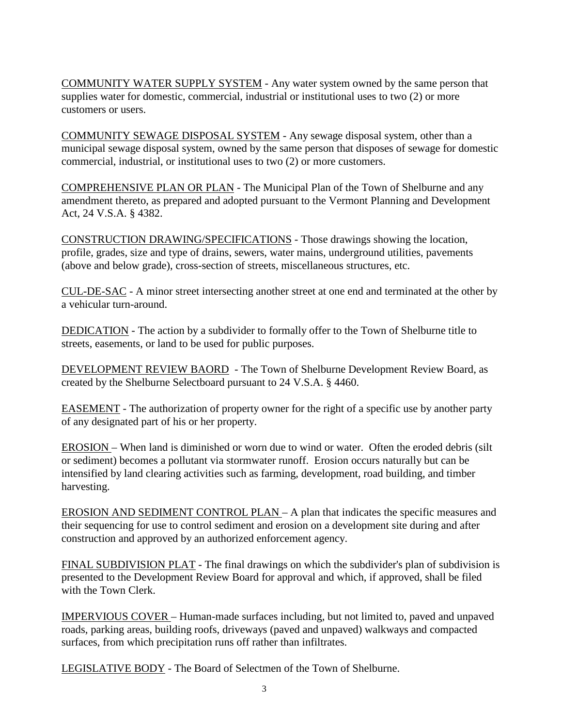COMMUNITY WATER SUPPLY SYSTEM - Any water system owned by the same person that supplies water for domestic, commercial, industrial or institutional uses to two (2) or more customers or users.

COMMUNITY SEWAGE DISPOSAL SYSTEM - Any sewage disposal system, other than a municipal sewage disposal system, owned by the same person that disposes of sewage for domestic commercial, industrial, or institutional uses to two (2) or more customers.

COMPREHENSIVE PLAN OR PLAN - The Municipal Plan of the Town of Shelburne and any amendment thereto, as prepared and adopted pursuant to the Vermont Planning and Development Act, 24 V.S.A. § 4382.

CONSTRUCTION DRAWING/SPECIFICATIONS - Those drawings showing the location, profile, grades, size and type of drains, sewers, water mains, underground utilities, pavements (above and below grade), cross-section of streets, miscellaneous structures, etc.

CUL-DE-SAC - A minor street intersecting another street at one end and terminated at the other by a vehicular turn-around.

DEDICATION - The action by a subdivider to formally offer to the Town of Shelburne title to streets, easements, or land to be used for public purposes.

DEVELOPMENT REVIEW BAORD - The Town of Shelburne Development Review Board, as created by the Shelburne Selectboard pursuant to 24 V.S.A. § 4460.

EASEMENT - The authorization of property owner for the right of a specific use by another party of any designated part of his or her property.

EROSION – When land is diminished or worn due to wind or water. Often the eroded debris (silt or sediment) becomes a pollutant via stormwater runoff. Erosion occurs naturally but can be intensified by land clearing activities such as farming, development, road building, and timber harvesting.

EROSION AND SEDIMENT CONTROL PLAN – A plan that indicates the specific measures and their sequencing for use to control sediment and erosion on a development site during and after construction and approved by an authorized enforcement agency.

FINAL SUBDIVISION PLAT - The final drawings on which the subdivider's plan of subdivision is presented to the Development Review Board for approval and which, if approved, shall be filed with the Town Clerk.

IMPERVIOUS COVER – Human-made surfaces including, but not limited to, paved and unpaved roads, parking areas, building roofs, driveways (paved and unpaved) walkways and compacted surfaces, from which precipitation runs off rather than infiltrates.

LEGISLATIVE BODY - The Board of Selectmen of the Town of Shelburne.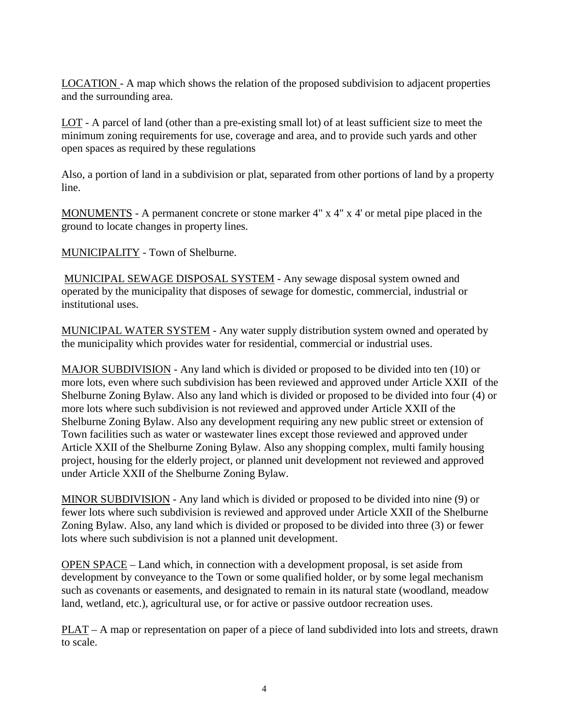LOCATION - A map which shows the relation of the proposed subdivision to adjacent properties and the surrounding area.

LOT - A parcel of land (other than a pre-existing small lot) of at least sufficient size to meet the minimum zoning requirements for use, coverage and area, and to provide such yards and other open spaces as required by these regulations

Also, a portion of land in a subdivision or plat, separated from other portions of land by a property line.

MONUMENTS - A permanent concrete or stone marker 4" x 4" x 4" or metal pipe placed in the ground to locate changes in property lines.

MUNICIPALITY - Town of Shelburne.

MUNICIPAL SEWAGE DISPOSAL SYSTEM - Any sewage disposal system owned and operated by the municipality that disposes of sewage for domestic, commercial, industrial or institutional uses.

MUNICIPAL WATER SYSTEM - Any water supply distribution system owned and operated by the municipality which provides water for residential, commercial or industrial uses.

MAJOR SUBDIVISION - Any land which is divided or proposed to be divided into ten (10) or more lots, even where such subdivision has been reviewed and approved under Article XXII of the Shelburne Zoning Bylaw. Also any land which is divided or proposed to be divided into four (4) or more lots where such subdivision is not reviewed and approved under Article XXII of the Shelburne Zoning Bylaw. Also any development requiring any new public street or extension of Town facilities such as water or wastewater lines except those reviewed and approved under Article XXII of the Shelburne Zoning Bylaw. Also any shopping complex, multi family housing project, housing for the elderly project, or planned unit development not reviewed and approved under Article XXII of the Shelburne Zoning Bylaw.

MINOR SUBDIVISION - Any land which is divided or proposed to be divided into nine (9) or fewer lots where such subdivision is reviewed and approved under Article XXII of the Shelburne Zoning Bylaw. Also, any land which is divided or proposed to be divided into three (3) or fewer lots where such subdivision is not a planned unit development.

OPEN SPACE – Land which, in connection with a development proposal, is set aside from development by conveyance to the Town or some qualified holder, or by some legal mechanism such as covenants or easements, and designated to remain in its natural state (woodland, meadow land, wetland, etc.), agricultural use, or for active or passive outdoor recreation uses.

PLAT – A map or representation on paper of a piece of land subdivided into lots and streets, drawn to scale.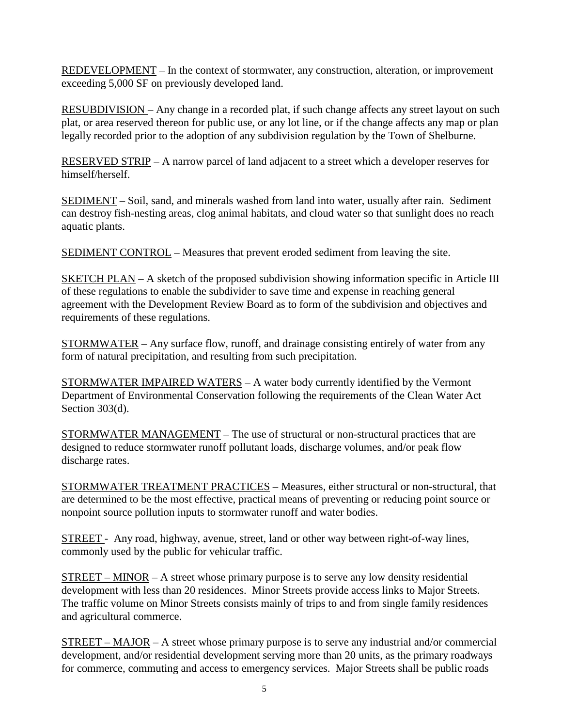REDEVELOPMENT – In the context of stormwater, any construction, alteration, or improvement exceeding 5,000 SF on previously developed land.

RESUBDIVISION – Any change in a recorded plat, if such change affects any street layout on such plat, or area reserved thereon for public use, or any lot line, or if the change affects any map or plan legally recorded prior to the adoption of any subdivision regulation by the Town of Shelburne.

RESERVED STRIP – A narrow parcel of land adjacent to a street which a developer reserves for himself/herself.

SEDIMENT – Soil, sand, and minerals washed from land into water, usually after rain. Sediment can destroy fish-nesting areas, clog animal habitats, and cloud water so that sunlight does no reach aquatic plants.

SEDIMENT CONTROL – Measures that prevent eroded sediment from leaving the site.

SKETCH PLAN – A sketch of the proposed subdivision showing information specific in Article III of these regulations to enable the subdivider to save time and expense in reaching general agreement with the Development Review Board as to form of the subdivision and objectives and requirements of these regulations.

STORMWATER – Any surface flow, runoff, and drainage consisting entirely of water from any form of natural precipitation, and resulting from such precipitation.

STORMWATER IMPAIRED WATERS – A water body currently identified by the Vermont Department of Environmental Conservation following the requirements of the Clean Water Act Section 303(d).

STORMWATER MANAGEMENT – The use of structural or non-structural practices that are designed to reduce stormwater runoff pollutant loads, discharge volumes, and/or peak flow discharge rates.

STORMWATER TREATMENT PRACTICES – Measures, either structural or non-structural, that are determined to be the most effective, practical means of preventing or reducing point source or nonpoint source pollution inputs to stormwater runoff and water bodies.

STREET - Any road, highway, avenue, street, land or other way between right-of-way lines, commonly used by the public for vehicular traffic.

 $STREF-MINOR-A$  street whose primary purpose is to serve any low density residential development with less than 20 residences. Minor Streets provide access links to Major Streets. The traffic volume on Minor Streets consists mainly of trips to and from single family residences and agricultural commerce.

STREET – MAJOR – A street whose primary purpose is to serve any industrial and/or commercial development, and/or residential development serving more than 20 units, as the primary roadways for commerce, commuting and access to emergency services. Major Streets shall be public roads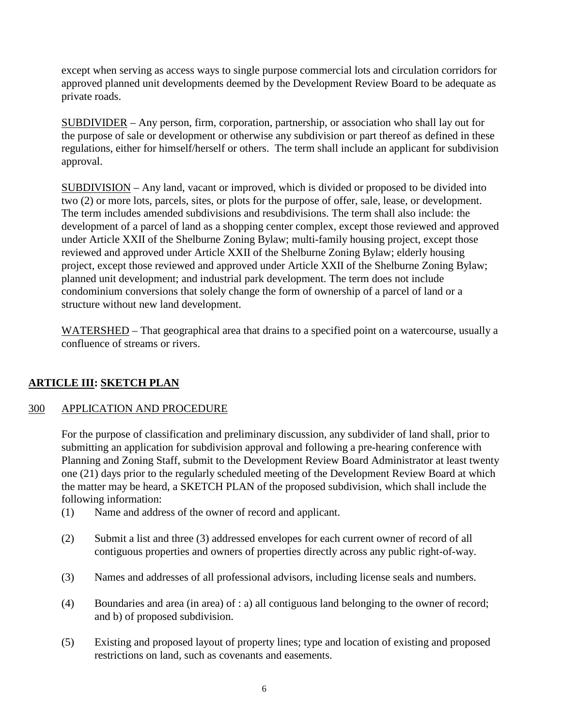except when serving as access ways to single purpose commercial lots and circulation corridors for approved planned unit developments deemed by the Development Review Board to be adequate as private roads.

SUBDIVIDER – Any person, firm, corporation, partnership, or association who shall lay out for the purpose of sale or development or otherwise any subdivision or part thereof as defined in these regulations, either for himself/herself or others. The term shall include an applicant for subdivision approval.

SUBDIVISION – Any land, vacant or improved, which is divided or proposed to be divided into two (2) or more lots, parcels, sites, or plots for the purpose of offer, sale, lease, or development. The term includes amended subdivisions and resubdivisions. The term shall also include: the development of a parcel of land as a shopping center complex, except those reviewed and approved under Article XXII of the Shelburne Zoning Bylaw; multi-family housing project, except those reviewed and approved under Article XXII of the Shelburne Zoning Bylaw; elderly housing project, except those reviewed and approved under Article XXII of the Shelburne Zoning Bylaw; planned unit development; and industrial park development. The term does not include condominium conversions that solely change the form of ownership of a parcel of land or a structure without new land development.

WATERSHED – That geographical area that drains to a specified point on a watercourse, usually a confluence of streams or rivers.

# **ARTICLE III: SKETCH PLAN**

# 300 APPLICATION AND PROCEDURE

For the purpose of classification and preliminary discussion, any subdivider of land shall, prior to submitting an application for subdivision approval and following a pre-hearing conference with Planning and Zoning Staff, submit to the Development Review Board Administrator at least twenty one (21) days prior to the regularly scheduled meeting of the Development Review Board at which the matter may be heard, a SKETCH PLAN of the proposed subdivision, which shall include the following information:

- (1) Name and address of the owner of record and applicant.
- (2) Submit a list and three (3) addressed envelopes for each current owner of record of all contiguous properties and owners of properties directly across any public right-of-way.
- (3) Names and addresses of all professional advisors, including license seals and numbers.
- (4) Boundaries and area (in area) of : a) all contiguous land belonging to the owner of record; and b) of proposed subdivision.
- (5) Existing and proposed layout of property lines; type and location of existing and proposed restrictions on land, such as covenants and easements.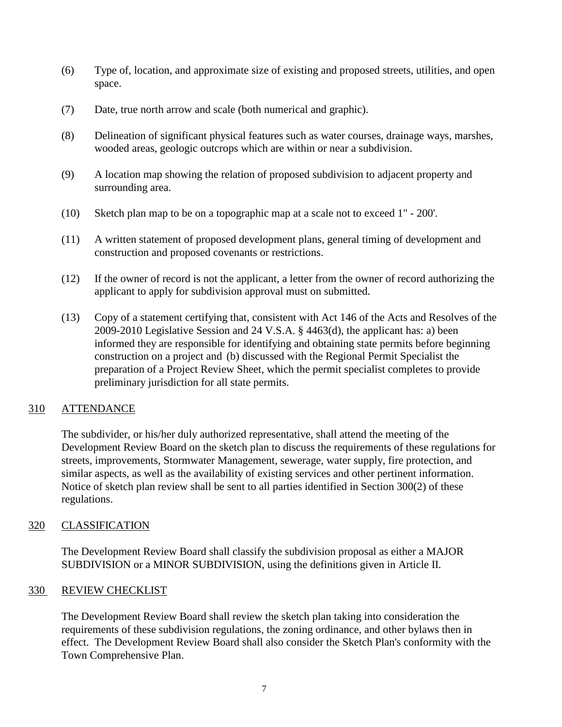- (6) Type of, location, and approximate size of existing and proposed streets, utilities, and open space.
- (7) Date, true north arrow and scale (both numerical and graphic).
- (8) Delineation of significant physical features such as water courses, drainage ways, marshes, wooded areas, geologic outcrops which are within or near a subdivision.
- (9) A location map showing the relation of proposed subdivision to adjacent property and surrounding area.
- (10) Sketch plan map to be on a topographic map at a scale not to exceed 1" 200'.
- (11) A written statement of proposed development plans, general timing of development and construction and proposed covenants or restrictions.
- (12) If the owner of record is not the applicant, a letter from the owner of record authorizing the applicant to apply for subdivision approval must on submitted.
- (13) Copy of a statement certifying that, consistent with Act 146 of the Acts and Resolves of the 2009-2010 Legislative Session and 24 V.S.A. § 4463(d), the applicant has: a) been informed they are responsible for identifying and obtaining state permits before beginning construction on a project and (b) discussed with the Regional Permit Specialist the preparation of a Project Review Sheet, which the permit specialist completes to provide preliminary jurisdiction for all state permits.

# 310 ATTENDANCE

The subdivider, or his/her duly authorized representative, shall attend the meeting of the Development Review Board on the sketch plan to discuss the requirements of these regulations for streets, improvements, Stormwater Management, sewerage, water supply, fire protection, and similar aspects, as well as the availability of existing services and other pertinent information. Notice of sketch plan review shall be sent to all parties identified in Section 300(2) of these regulations.

# 320 CLASSIFICATION

The Development Review Board shall classify the subdivision proposal as either a MAJOR SUBDIVISION or a MINOR SUBDIVISION, using the definitions given in Article II.

# 330 REVIEW CHECKLIST

The Development Review Board shall review the sketch plan taking into consideration the requirements of these subdivision regulations, the zoning ordinance, and other bylaws then in effect. The Development Review Board shall also consider the Sketch Plan's conformity with the Town Comprehensive Plan.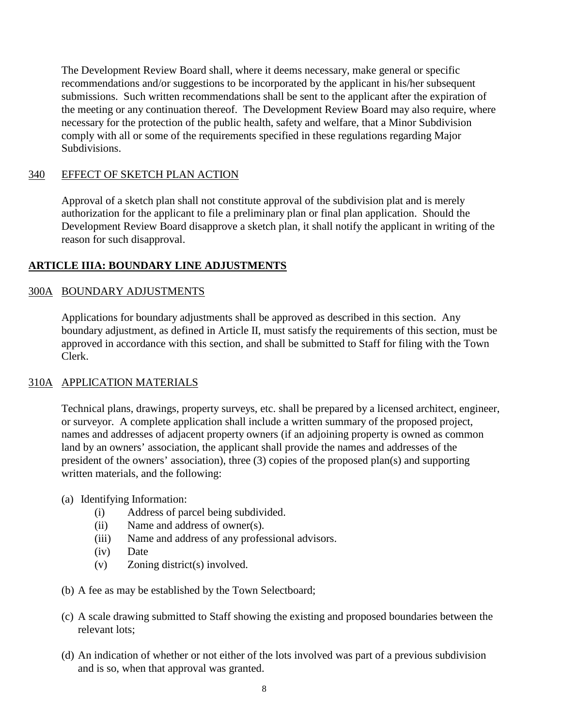The Development Review Board shall, where it deems necessary, make general or specific recommendations and/or suggestions to be incorporated by the applicant in his/her subsequent submissions. Such written recommendations shall be sent to the applicant after the expiration of the meeting or any continuation thereof. The Development Review Board may also require, where necessary for the protection of the public health, safety and welfare, that a Minor Subdivision comply with all or some of the requirements specified in these regulations regarding Major Subdivisions.

# 340 EFFECT OF SKETCH PLAN ACTION

Approval of a sketch plan shall not constitute approval of the subdivision plat and is merely authorization for the applicant to file a preliminary plan or final plan application. Should the Development Review Board disapprove a sketch plan, it shall notify the applicant in writing of the reason for such disapproval.

# **ARTICLE IIIA: BOUNDARY LINE ADJUSTMENTS**

# 300A BOUNDARY ADJUSTMENTS

Applications for boundary adjustments shall be approved as described in this section. Any boundary adjustment, as defined in Article II, must satisfy the requirements of this section, must be approved in accordance with this section, and shall be submitted to Staff for filing with the Town Clerk.

# 310A APPLICATION MATERIALS

Technical plans, drawings, property surveys, etc. shall be prepared by a licensed architect, engineer, or surveyor. A complete application shall include a written summary of the proposed project, names and addresses of adjacent property owners (if an adjoining property is owned as common land by an owners' association, the applicant shall provide the names and addresses of the president of the owners' association), three (3) copies of the proposed plan(s) and supporting written materials, and the following:

- (a) Identifying Information:
	- (i) Address of parcel being subdivided.
	- (ii) Name and address of owner(s).
	- (iii) Name and address of any professional advisors.
	- (iv) Date
	- (v) Zoning district(s) involved.
- (b) A fee as may be established by the Town Selectboard;
- (c) A scale drawing submitted to Staff showing the existing and proposed boundaries between the relevant lots;
- (d) An indication of whether or not either of the lots involved was part of a previous subdivision and is so, when that approval was granted.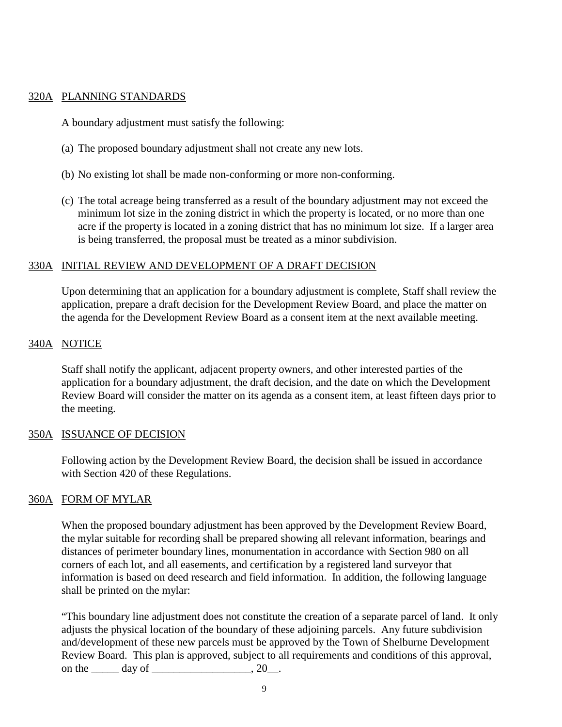#### 320A PLANNING STANDARDS

A boundary adjustment must satisfy the following:

- (a) The proposed boundary adjustment shall not create any new lots.
- (b) No existing lot shall be made non-conforming or more non-conforming.
- (c) The total acreage being transferred as a result of the boundary adjustment may not exceed the minimum lot size in the zoning district in which the property is located, or no more than one acre if the property is located in a zoning district that has no minimum lot size. If a larger area is being transferred, the proposal must be treated as a minor subdivision.

# 330A INITIAL REVIEW AND DEVELOPMENT OF A DRAFT DECISION

Upon determining that an application for a boundary adjustment is complete, Staff shall review the application, prepare a draft decision for the Development Review Board, and place the matter on the agenda for the Development Review Board as a consent item at the next available meeting.

# 340A NOTICE

Staff shall notify the applicant, adjacent property owners, and other interested parties of the application for a boundary adjustment, the draft decision, and the date on which the Development Review Board will consider the matter on its agenda as a consent item, at least fifteen days prior to the meeting.

#### 350A ISSUANCE OF DECISION

Following action by the Development Review Board, the decision shall be issued in accordance with Section 420 of these Regulations.

# 360A FORM OF MYLAR

When the proposed boundary adjustment has been approved by the Development Review Board, the mylar suitable for recording shall be prepared showing all relevant information, bearings and distances of perimeter boundary lines, monumentation in accordance with Section 980 on all corners of each lot, and all easements, and certification by a registered land surveyor that information is based on deed research and field information. In addition, the following language shall be printed on the mylar:

"This boundary line adjustment does not constitute the creation of a separate parcel of land. It only adjusts the physical location of the boundary of these adjoining parcels. Any future subdivision and/development of these new parcels must be approved by the Town of Shelburne Development Review Board. This plan is approved, subject to all requirements and conditions of this approval, on the  $\_\_\_$  day of  $\_\_\_\_\_\_\_\$ .  $20\_\_\_\_\$ .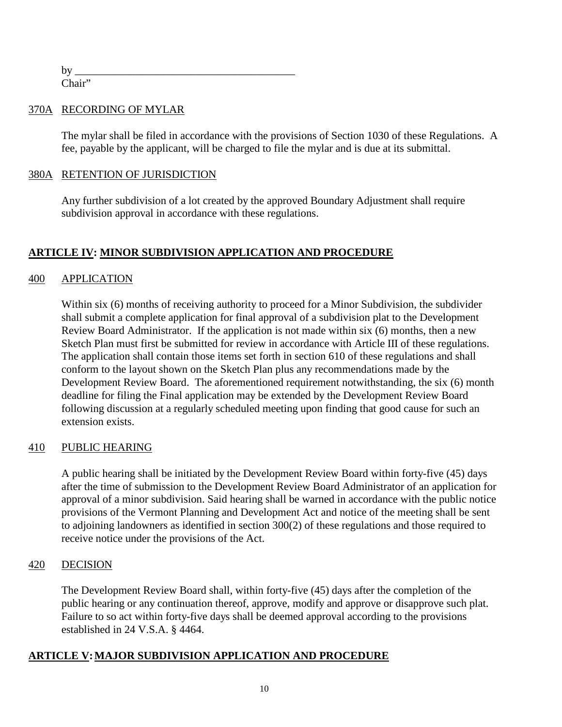by \_\_\_\_\_\_\_\_\_\_\_\_\_\_\_\_\_\_\_\_\_\_\_\_\_\_\_\_\_\_\_\_\_\_\_\_\_\_\_\_ Chair"

#### 370A RECORDING OF MYLAR

The mylar shall be filed in accordance with the provisions of Section 1030 of these Regulations. A fee, payable by the applicant, will be charged to file the mylar and is due at its submittal.

# 380A RETENTION OF JURISDICTION

Any further subdivision of a lot created by the approved Boundary Adjustment shall require subdivision approval in accordance with these regulations.

# **ARTICLE IV: MINOR SUBDIVISION APPLICATION AND PROCEDURE**

# 400 APPLICATION

Within six (6) months of receiving authority to proceed for a Minor Subdivision, the subdivider shall submit a complete application for final approval of a subdivision plat to the Development Review Board Administrator. If the application is not made within six (6) months, then a new Sketch Plan must first be submitted for review in accordance with Article III of these regulations. The application shall contain those items set forth in section 610 of these regulations and shall conform to the layout shown on the Sketch Plan plus any recommendations made by the Development Review Board. The aforementioned requirement notwithstanding, the six (6) month deadline for filing the Final application may be extended by the Development Review Board following discussion at a regularly scheduled meeting upon finding that good cause for such an extension exists.

#### 410 PUBLIC HEARING

A public hearing shall be initiated by the Development Review Board within forty-five (45) days after the time of submission to the Development Review Board Administrator of an application for approval of a minor subdivision. Said hearing shall be warned in accordance with the public notice provisions of the Vermont Planning and Development Act and notice of the meeting shall be sent to adjoining landowners as identified in section 300(2) of these regulations and those required to receive notice under the provisions of the Act.

#### 420 DECISION

The Development Review Board shall, within forty-five (45) days after the completion of the public hearing or any continuation thereof, approve, modify and approve or disapprove such plat. Failure to so act within forty-five days shall be deemed approval according to the provisions established in 24 V.S.A. § 4464.

# **ARTICLE V:MAJOR SUBDIVISION APPLICATION AND PROCEDURE**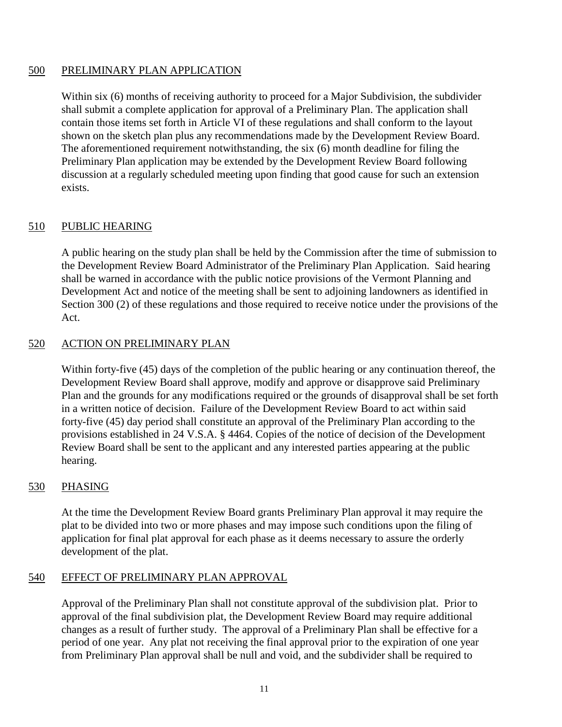# 500 PRELIMINARY PLAN APPLICATION

Within six (6) months of receiving authority to proceed for a Major Subdivision, the subdivider shall submit a complete application for approval of a Preliminary Plan. The application shall contain those items set forth in Article VI of these regulations and shall conform to the layout shown on the sketch plan plus any recommendations made by the Development Review Board. The aforementioned requirement notwithstanding, the six (6) month deadline for filing the Preliminary Plan application may be extended by the Development Review Board following discussion at a regularly scheduled meeting upon finding that good cause for such an extension exists.

# 510 PUBLIC HEARING

A public hearing on the study plan shall be held by the Commission after the time of submission to the Development Review Board Administrator of the Preliminary Plan Application. Said hearing shall be warned in accordance with the public notice provisions of the Vermont Planning and Development Act and notice of the meeting shall be sent to adjoining landowners as identified in Section 300 (2) of these regulations and those required to receive notice under the provisions of the Act.

# 520 ACTION ON PRELIMINARY PLAN

Within forty-five (45) days of the completion of the public hearing or any continuation thereof, the Development Review Board shall approve, modify and approve or disapprove said Preliminary Plan and the grounds for any modifications required or the grounds of disapproval shall be set forth in a written notice of decision. Failure of the Development Review Board to act within said forty-five (45) day period shall constitute an approval of the Preliminary Plan according to the provisions established in 24 V.S.A. § 4464. Copies of the notice of decision of the Development Review Board shall be sent to the applicant and any interested parties appearing at the public hearing.

#### 530 PHASING

At the time the Development Review Board grants Preliminary Plan approval it may require the plat to be divided into two or more phases and may impose such conditions upon the filing of application for final plat approval for each phase as it deems necessary to assure the orderly development of the plat.

#### 540 EFFECT OF PRELIMINARY PLAN APPROVAL

Approval of the Preliminary Plan shall not constitute approval of the subdivision plat. Prior to approval of the final subdivision plat, the Development Review Board may require additional changes as a result of further study. The approval of a Preliminary Plan shall be effective for a period of one year. Any plat not receiving the final approval prior to the expiration of one year from Preliminary Plan approval shall be null and void, and the subdivider shall be required to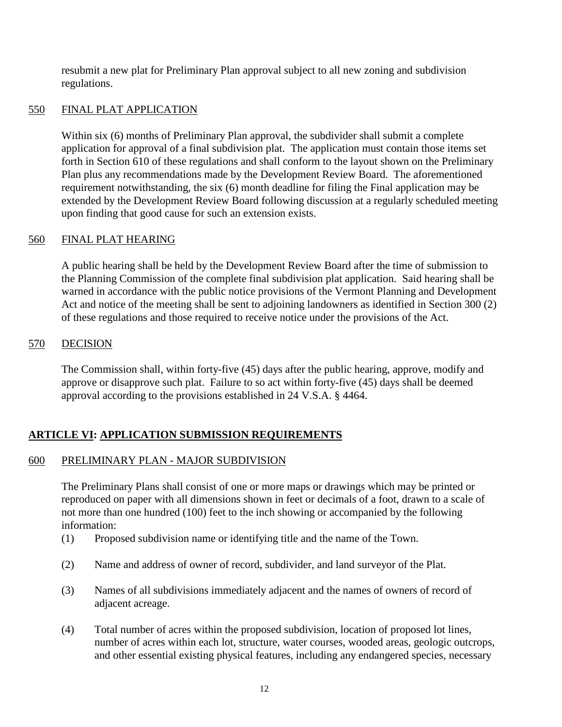resubmit a new plat for Preliminary Plan approval subject to all new zoning and subdivision regulations.

# 550 FINAL PLAT APPLICATION

Within six (6) months of Preliminary Plan approval, the subdivider shall submit a complete application for approval of a final subdivision plat. The application must contain those items set forth in Section 610 of these regulations and shall conform to the layout shown on the Preliminary Plan plus any recommendations made by the Development Review Board. The aforementioned requirement notwithstanding, the six (6) month deadline for filing the Final application may be extended by the Development Review Board following discussion at a regularly scheduled meeting upon finding that good cause for such an extension exists.

# 560 FINAL PLAT HEARING

A public hearing shall be held by the Development Review Board after the time of submission to the Planning Commission of the complete final subdivision plat application. Said hearing shall be warned in accordance with the public notice provisions of the Vermont Planning and Development Act and notice of the meeting shall be sent to adjoining landowners as identified in Section 300 (2) of these regulations and those required to receive notice under the provisions of the Act.

# 570 DECISION

The Commission shall, within forty-five (45) days after the public hearing, approve, modify and approve or disapprove such plat. Failure to so act within forty-five (45) days shall be deemed approval according to the provisions established in 24 V.S.A. § 4464.

# **ARTICLE VI: APPLICATION SUBMISSION REQUIREMENTS**

# 600 PRELIMINARY PLAN - MAJOR SUBDIVISION

The Preliminary Plans shall consist of one or more maps or drawings which may be printed or reproduced on paper with all dimensions shown in feet or decimals of a foot, drawn to a scale of not more than one hundred (100) feet to the inch showing or accompanied by the following information:

- (1) Proposed subdivision name or identifying title and the name of the Town.
- (2) Name and address of owner of record, subdivider, and land surveyor of the Plat.
- (3) Names of all subdivisions immediately adjacent and the names of owners of record of adjacent acreage.
- (4) Total number of acres within the proposed subdivision, location of proposed lot lines, number of acres within each lot, structure, water courses, wooded areas, geologic outcrops, and other essential existing physical features, including any endangered species, necessary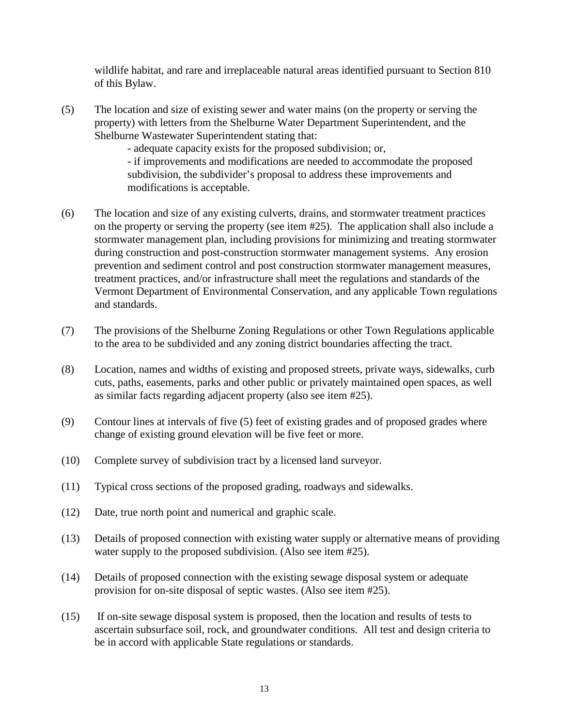wildlife habitat, and rare and irreplaceable natural areas identified pursuant to Section 810 of this Bylaw.

(5) The location and size of existing sewer and water mains (on the property or serving the property) with letters from the Shelburne Water Department Superintendent, and the Shelburne Wastewater Superintendent stating that:

- adequate capacity exists for the proposed subdivision; or,

- if improvements and modifications are needed to accommodate the proposed subdivision, the subdivider's proposal to address these improvements and modifications is acceptable.

- (6) The location and size of any existing culverts, drains, and stormwater treatment practices on the property or serving the property (see item #25). The application shall also include a stormwater management plan, including provisions for minimizing and treating stormwater during construction and post-construction stormwater management systems. Any erosion prevention and sediment control and post construction stormwater management measures, treatment practices, and/or infrastructure shall meet the regulations and standards of the Vermont Department of Environmental Conservation, and any applicable Town regulations and standards.
- (7) The provisions of the Shelburne Zoning Regulations or other Town Regulations applicable to the area to be subdivided and any zoning district boundaries affecting the tract.
- (8) Location, names and widths of existing and proposed streets, private ways, sidewalks, curb cuts, paths, easements, parks and other public or privately maintained open spaces, as well as similar facts regarding adjacent property (also see item #25).
- (9) Contour lines at intervals of five (5) feet of existing grades and of proposed grades where change of existing ground elevation will be five feet or more.
- (10) Complete survey of subdivision tract by a licensed land surveyor.
- (11) Typical cross sections of the proposed grading, roadways and sidewalks.
- (12) Date, true north point and numerical and graphic scale.
- (13) Details of proposed connection with existing water supply or alternative means of providing water supply to the proposed subdivision. (Also see item #25).
- (14) Details of proposed connection with the existing sewage disposal system or adequate provision for on-site disposal of septic wastes. (Also see item #25).
- (15) If on-site sewage disposal system is proposed, then the location and results of tests to ascertain subsurface soil, rock, and groundwater conditions. All test and design criteria to be in accord with applicable State regulations or standards.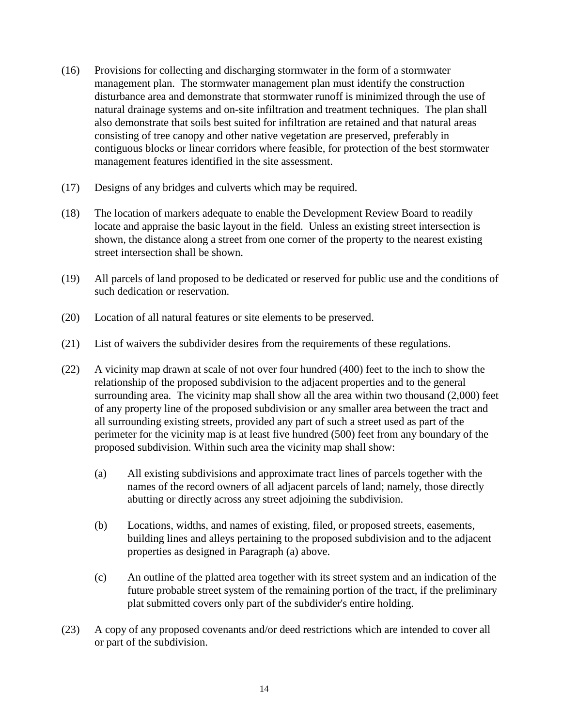- (16) Provisions for collecting and discharging stormwater in the form of a stormwater management plan. The stormwater management plan must identify the construction disturbance area and demonstrate that stormwater runoff is minimized through the use of natural drainage systems and on-site infiltration and treatment techniques. The plan shall also demonstrate that soils best suited for infiltration are retained and that natural areas consisting of tree canopy and other native vegetation are preserved, preferably in contiguous blocks or linear corridors where feasible, for protection of the best stormwater management features identified in the site assessment.
- (17) Designs of any bridges and culverts which may be required.
- (18) The location of markers adequate to enable the Development Review Board to readily locate and appraise the basic layout in the field. Unless an existing street intersection is shown, the distance along a street from one corner of the property to the nearest existing street intersection shall be shown.
- (19) All parcels of land proposed to be dedicated or reserved for public use and the conditions of such dedication or reservation.
- (20) Location of all natural features or site elements to be preserved.
- (21) List of waivers the subdivider desires from the requirements of these regulations.
- (22) A vicinity map drawn at scale of not over four hundred (400) feet to the inch to show the relationship of the proposed subdivision to the adjacent properties and to the general surrounding area. The vicinity map shall show all the area within two thousand (2,000) feet of any property line of the proposed subdivision or any smaller area between the tract and all surrounding existing streets, provided any part of such a street used as part of the perimeter for the vicinity map is at least five hundred (500) feet from any boundary of the proposed subdivision. Within such area the vicinity map shall show:
	- (a) All existing subdivisions and approximate tract lines of parcels together with the names of the record owners of all adjacent parcels of land; namely, those directly abutting or directly across any street adjoining the subdivision.
	- (b) Locations, widths, and names of existing, filed, or proposed streets, easements, building lines and alleys pertaining to the proposed subdivision and to the adjacent properties as designed in Paragraph (a) above.
	- (c) An outline of the platted area together with its street system and an indication of the future probable street system of the remaining portion of the tract, if the preliminary plat submitted covers only part of the subdivider's entire holding.
- (23) A copy of any proposed covenants and/or deed restrictions which are intended to cover all or part of the subdivision.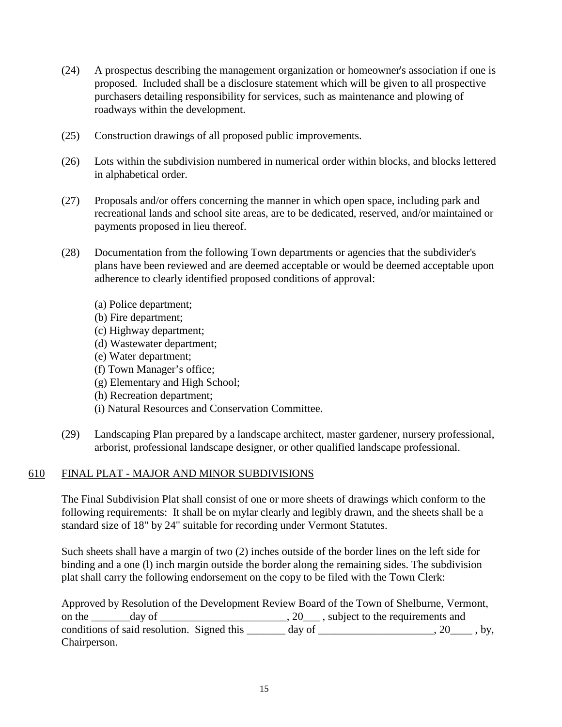- (24) A prospectus describing the management organization or homeowner's association if one is proposed. Included shall be a disclosure statement which will be given to all prospective purchasers detailing responsibility for services, such as maintenance and plowing of roadways within the development.
- (25) Construction drawings of all proposed public improvements.
- (26) Lots within the subdivision numbered in numerical order within blocks, and blocks lettered in alphabetical order.
- (27) Proposals and/or offers concerning the manner in which open space, including park and recreational lands and school site areas, are to be dedicated, reserved, and/or maintained or payments proposed in lieu thereof.
- (28) Documentation from the following Town departments or agencies that the subdivider's plans have been reviewed and are deemed acceptable or would be deemed acceptable upon adherence to clearly identified proposed conditions of approval:
	- (a) Police department;
	- (b) Fire department;
	- (c) Highway department;
	- (d) Wastewater department;
	- (e) Water department;
	- (f) Town Manager's office;
	- (g) Elementary and High School;
	- (h) Recreation department;
	- (i) Natural Resources and Conservation Committee.
- (29) Landscaping Plan prepared by a landscape architect, master gardener, nursery professional, arborist, professional landscape designer, or other qualified landscape professional.

#### 610 FINAL PLAT - MAJOR AND MINOR SUBDIVISIONS

The Final Subdivision Plat shall consist of one or more sheets of drawings which conform to the following requirements: It shall be on mylar clearly and legibly drawn, and the sheets shall be a standard size of 18" by 24" suitable for recording under Vermont Statutes.

Such sheets shall have a margin of two (2) inches outside of the border lines on the left side for binding and a one (l) inch margin outside the border along the remaining sides. The subdivision plat shall carry the following endorsement on the copy to be filed with the Town Clerk:

Approved by Resolution of the Development Review Board of the Town of Shelburne, Vermont, on the \_\_\_\_\_\_\_day of \_\_\_\_\_\_\_\_\_\_\_\_\_\_\_\_\_\_\_\_\_\_\_, 20\_\_\_ , subject to the requirements and conditions of said resolution. Signed this  $\_\_\_\_$  day of  $\_\_\_\_\_\_\_$ ,  $20\_\_\_\_$ , by, Chairperson.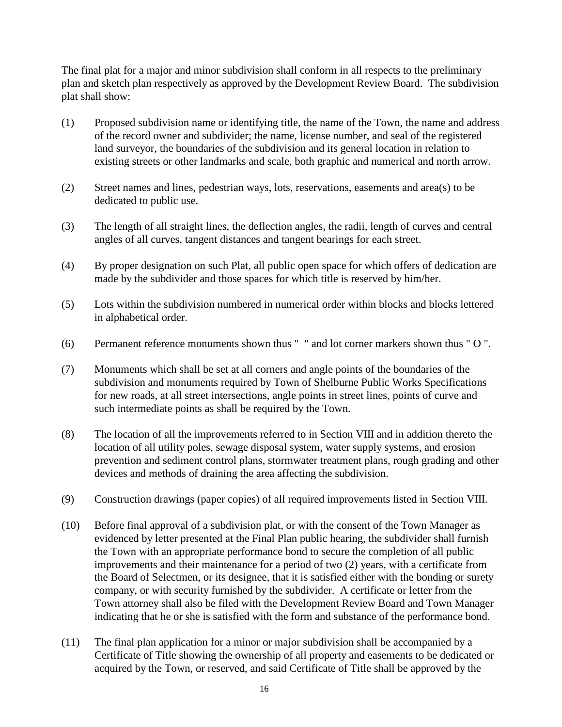The final plat for a major and minor subdivision shall conform in all respects to the preliminary plan and sketch plan respectively as approved by the Development Review Board. The subdivision plat shall show:

- (1) Proposed subdivision name or identifying title, the name of the Town, the name and address of the record owner and subdivider; the name, license number, and seal of the registered land surveyor, the boundaries of the subdivision and its general location in relation to existing streets or other landmarks and scale, both graphic and numerical and north arrow.
- (2) Street names and lines, pedestrian ways, lots, reservations, easements and area(s) to be dedicated to public use.
- (3) The length of all straight lines, the deflection angles, the radii, length of curves and central angles of all curves, tangent distances and tangent bearings for each street.
- (4) By proper designation on such Plat, all public open space for which offers of dedication are made by the subdivider and those spaces for which title is reserved by him/her.
- (5) Lots within the subdivision numbered in numerical order within blocks and blocks lettered in alphabetical order.
- (6) Permanent reference monuments shown thus " " and lot corner markers shown thus " O ".
- (7) Monuments which shall be set at all corners and angle points of the boundaries of the subdivision and monuments required by Town of Shelburne Public Works Specifications for new roads, at all street intersections, angle points in street lines, points of curve and such intermediate points as shall be required by the Town.
- (8) The location of all the improvements referred to in Section VIII and in addition thereto the location of all utility poles, sewage disposal system, water supply systems, and erosion prevention and sediment control plans, stormwater treatment plans, rough grading and other devices and methods of draining the area affecting the subdivision.
- (9) Construction drawings (paper copies) of all required improvements listed in Section VIII.
- (10) Before final approval of a subdivision plat, or with the consent of the Town Manager as evidenced by letter presented at the Final Plan public hearing, the subdivider shall furnish the Town with an appropriate performance bond to secure the completion of all public improvements and their maintenance for a period of two (2) years, with a certificate from the Board of Selectmen, or its designee, that it is satisfied either with the bonding or surety company, or with security furnished by the subdivider. A certificate or letter from the Town attorney shall also be filed with the Development Review Board and Town Manager indicating that he or she is satisfied with the form and substance of the performance bond.
- (11) The final plan application for a minor or major subdivision shall be accompanied by a Certificate of Title showing the ownership of all property and easements to be dedicated or acquired by the Town, or reserved, and said Certificate of Title shall be approved by the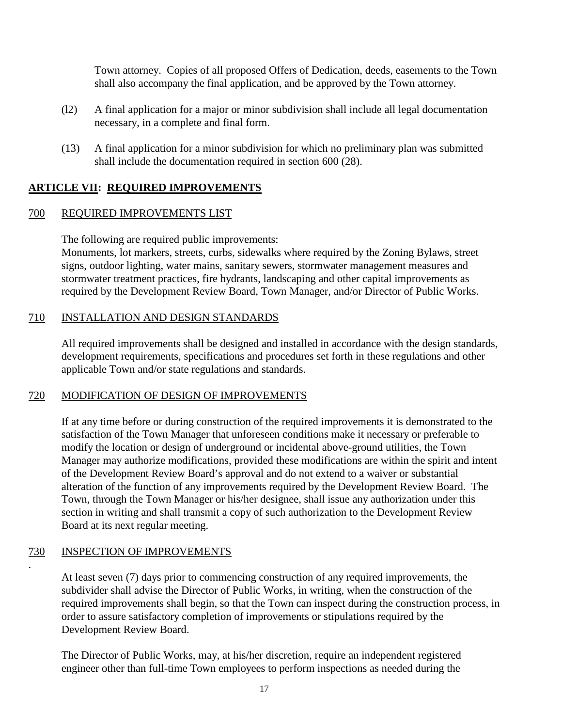Town attorney. Copies of all proposed Offers of Dedication, deeds, easements to the Town shall also accompany the final application, and be approved by the Town attorney.

- (l2) A final application for a major or minor subdivision shall include all legal documentation necessary, in a complete and final form.
- (13) A final application for a minor subdivision for which no preliminary plan was submitted shall include the documentation required in section 600 (28).

# **ARTICLE VII: REQUIRED IMPROVEMENTS**

# 700 REQUIRED IMPROVEMENTS LIST

The following are required public improvements:

Monuments, lot markers, streets, curbs, sidewalks where required by the Zoning Bylaws, street signs, outdoor lighting, water mains, sanitary sewers, stormwater management measures and stormwater treatment practices, fire hydrants, landscaping and other capital improvements as required by the Development Review Board, Town Manager, and/or Director of Public Works.

# 710 INSTALLATION AND DESIGN STANDARDS

All required improvements shall be designed and installed in accordance with the design standards, development requirements, specifications and procedures set forth in these regulations and other applicable Town and/or state regulations and standards.

# 720 MODIFICATION OF DESIGN OF IMPROVEMENTS

If at any time before or during construction of the required improvements it is demonstrated to the satisfaction of the Town Manager that unforeseen conditions make it necessary or preferable to modify the location or design of underground or incidental above-ground utilities, the Town Manager may authorize modifications, provided these modifications are within the spirit and intent of the Development Review Board's approval and do not extend to a waiver or substantial alteration of the function of any improvements required by the Development Review Board. The Town, through the Town Manager or his/her designee, shall issue any authorization under this section in writing and shall transmit a copy of such authorization to the Development Review Board at its next regular meeting.

# 730 INSPECTION OF IMPROVEMENTS

.

At least seven (7) days prior to commencing construction of any required improvements, the subdivider shall advise the Director of Public Works, in writing, when the construction of the required improvements shall begin, so that the Town can inspect during the construction process, in order to assure satisfactory completion of improvements or stipulations required by the Development Review Board.

The Director of Public Works, may, at his/her discretion, require an independent registered engineer other than full-time Town employees to perform inspections as needed during the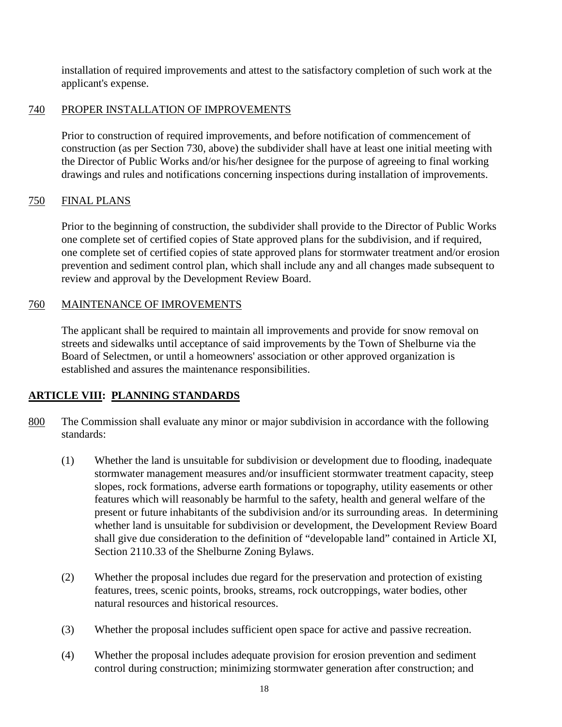installation of required improvements and attest to the satisfactory completion of such work at the applicant's expense.

# 740 PROPER INSTALLATION OF IMPROVEMENTS

Prior to construction of required improvements, and before notification of commencement of construction (as per Section 730, above) the subdivider shall have at least one initial meeting with the Director of Public Works and/or his/her designee for the purpose of agreeing to final working drawings and rules and notifications concerning inspections during installation of improvements.

# 750 FINAL PLANS

Prior to the beginning of construction, the subdivider shall provide to the Director of Public Works one complete set of certified copies of State approved plans for the subdivision, and if required, one complete set of certified copies of state approved plans for stormwater treatment and/or erosion prevention and sediment control plan, which shall include any and all changes made subsequent to review and approval by the Development Review Board.

# 760 MAINTENANCE OF IMROVEMENTS

The applicant shall be required to maintain all improvements and provide for snow removal on streets and sidewalks until acceptance of said improvements by the Town of Shelburne via the Board of Selectmen, or until a homeowners' association or other approved organization is established and assures the maintenance responsibilities.

# **ARTICLE VIII: PLANNING STANDARDS**

- 800 The Commission shall evaluate any minor or major subdivision in accordance with the following standards:
	- (1) Whether the land is unsuitable for subdivision or development due to flooding, inadequate stormwater management measures and/or insufficient stormwater treatment capacity, steep slopes, rock formations, adverse earth formations or topography, utility easements or other features which will reasonably be harmful to the safety, health and general welfare of the present or future inhabitants of the subdivision and/or its surrounding areas. In determining whether land is unsuitable for subdivision or development, the Development Review Board shall give due consideration to the definition of "developable land" contained in Article XI, Section 2110.33 of the Shelburne Zoning Bylaws.
	- (2) Whether the proposal includes due regard for the preservation and protection of existing features, trees, scenic points, brooks, streams, rock outcroppings, water bodies, other natural resources and historical resources.
	- (3) Whether the proposal includes sufficient open space for active and passive recreation.
	- (4) Whether the proposal includes adequate provision for erosion prevention and sediment control during construction; minimizing stormwater generation after construction; and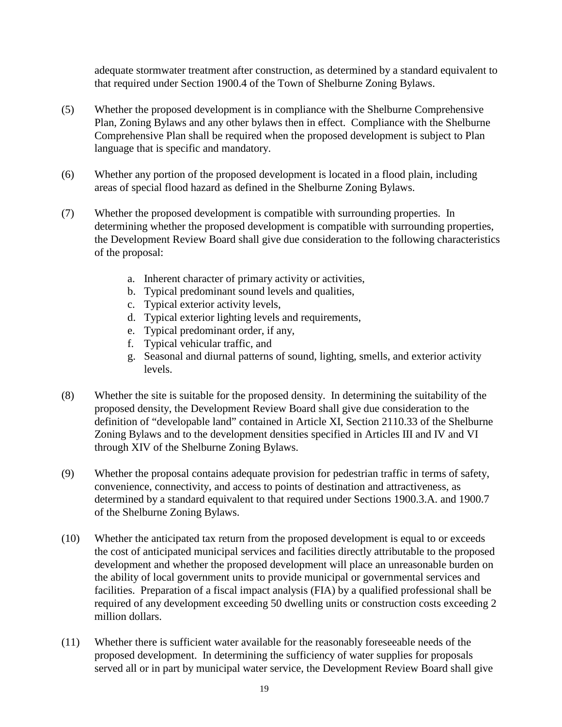adequate stormwater treatment after construction, as determined by a standard equivalent to that required under Section 1900.4 of the Town of Shelburne Zoning Bylaws.

- (5) Whether the proposed development is in compliance with the Shelburne Comprehensive Plan, Zoning Bylaws and any other bylaws then in effect. Compliance with the Shelburne Comprehensive Plan shall be required when the proposed development is subject to Plan language that is specific and mandatory.
- (6) Whether any portion of the proposed development is located in a flood plain, including areas of special flood hazard as defined in the Shelburne Zoning Bylaws.
- (7) Whether the proposed development is compatible with surrounding properties. In determining whether the proposed development is compatible with surrounding properties, the Development Review Board shall give due consideration to the following characteristics of the proposal:
	- a. Inherent character of primary activity or activities,
	- b. Typical predominant sound levels and qualities,
	- c. Typical exterior activity levels,
	- d. Typical exterior lighting levels and requirements,
	- e. Typical predominant order, if any,
	- f. Typical vehicular traffic, and
	- g. Seasonal and diurnal patterns of sound, lighting, smells, and exterior activity levels.
- (8) Whether the site is suitable for the proposed density. In determining the suitability of the proposed density, the Development Review Board shall give due consideration to the definition of "developable land" contained in Article XI, Section 2110.33 of the Shelburne Zoning Bylaws and to the development densities specified in Articles III and IV and VI through XIV of the Shelburne Zoning Bylaws.
- (9) Whether the proposal contains adequate provision for pedestrian traffic in terms of safety, convenience, connectivity, and access to points of destination and attractiveness, as determined by a standard equivalent to that required under Sections 1900.3.A. and 1900.7 of the Shelburne Zoning Bylaws.
- (10) Whether the anticipated tax return from the proposed development is equal to or exceeds the cost of anticipated municipal services and facilities directly attributable to the proposed development and whether the proposed development will place an unreasonable burden on the ability of local government units to provide municipal or governmental services and facilities. Preparation of a fiscal impact analysis (FIA) by a qualified professional shall be required of any development exceeding 50 dwelling units or construction costs exceeding 2 million dollars.
- (11) Whether there is sufficient water available for the reasonably foreseeable needs of the proposed development. In determining the sufficiency of water supplies for proposals served all or in part by municipal water service, the Development Review Board shall give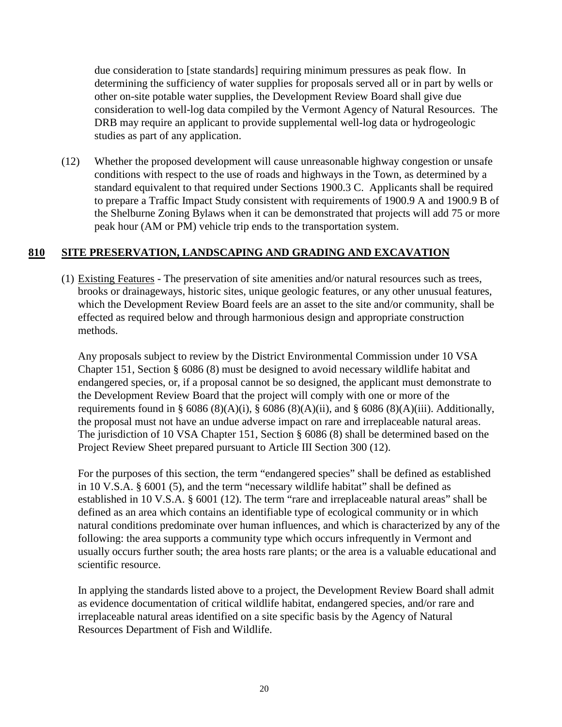due consideration to [state standards] requiring minimum pressures as peak flow. In determining the sufficiency of water supplies for proposals served all or in part by wells or other on-site potable water supplies, the Development Review Board shall give due consideration to well-log data compiled by the Vermont Agency of Natural Resources. The DRB may require an applicant to provide supplemental well-log data or hydrogeologic studies as part of any application.

(12) Whether the proposed development will cause unreasonable highway congestion or unsafe conditions with respect to the use of roads and highways in the Town, as determined by a standard equivalent to that required under Sections 1900.3 C. Applicants shall be required to prepare a Traffic Impact Study consistent with requirements of 1900.9 A and 1900.9 B of the Shelburne Zoning Bylaws when it can be demonstrated that projects will add 75 or more peak hour (AM or PM) vehicle trip ends to the transportation system.

# **810 SITE PRESERVATION, LANDSCAPING AND GRADING AND EXCAVATION**

(1) Existing Features - The preservation of site amenities and/or natural resources such as trees, brooks or drainageways, historic sites, unique geologic features, or any other unusual features, which the Development Review Board feels are an asset to the site and/or community, shall be effected as required below and through harmonious design and appropriate construction methods.

Any proposals subject to review by the District Environmental Commission under 10 VSA Chapter 151, Section § 6086 (8) must be designed to avoid necessary wildlife habitat and endangered species, or, if a proposal cannot be so designed, the applicant must demonstrate to the Development Review Board that the project will comply with one or more of the requirements found in § 6086 (8)(A)(i), § 6086 (8)(A)(ii), and § 6086 (8)(A)(iii). Additionally, the proposal must not have an undue adverse impact on rare and irreplaceable natural areas. The jurisdiction of 10 VSA Chapter 151, Section § 6086 (8) shall be determined based on the Project Review Sheet prepared pursuant to Article III Section 300 (12).

For the purposes of this section, the term "endangered species" shall be defined as established in 10 V.S.A. § 6001 (5), and the term "necessary wildlife habitat" shall be defined as established in 10 V.S.A. § 6001 (12). The term "rare and irreplaceable natural areas" shall be defined as an area which contains an identifiable type of ecological community or in which natural conditions predominate over human influences, and which is characterized by any of the following: the area supports a community type which occurs infrequently in Vermont and usually occurs further south; the area hosts rare plants; or the area is a valuable educational and scientific resource.

In applying the standards listed above to a project, the Development Review Board shall admit as evidence documentation of critical wildlife habitat, endangered species, and/or rare and irreplaceable natural areas identified on a site specific basis by the Agency of Natural Resources Department of Fish and Wildlife.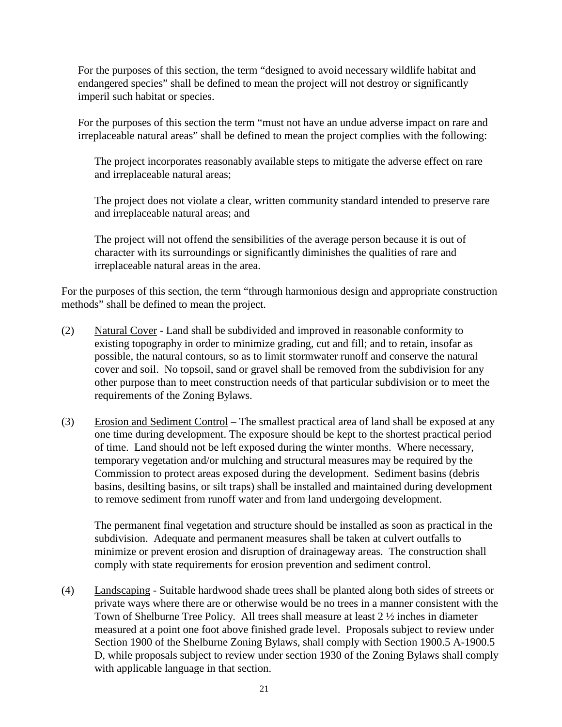For the purposes of this section, the term "designed to avoid necessary wildlife habitat and endangered species" shall be defined to mean the project will not destroy or significantly imperil such habitat or species.

For the purposes of this section the term "must not have an undue adverse impact on rare and irreplaceable natural areas" shall be defined to mean the project complies with the following:

The project incorporates reasonably available steps to mitigate the adverse effect on rare and irreplaceable natural areas;

The project does not violate a clear, written community standard intended to preserve rare and irreplaceable natural areas; and

The project will not offend the sensibilities of the average person because it is out of character with its surroundings or significantly diminishes the qualities of rare and irreplaceable natural areas in the area.

For the purposes of this section, the term "through harmonious design and appropriate construction methods" shall be defined to mean the project.

- (2) Natural Cover Land shall be subdivided and improved in reasonable conformity to existing topography in order to minimize grading, cut and fill; and to retain, insofar as possible, the natural contours, so as to limit stormwater runoff and conserve the natural cover and soil. No topsoil, sand or gravel shall be removed from the subdivision for any other purpose than to meet construction needs of that particular subdivision or to meet the requirements of the Zoning Bylaws.
- (3) Erosion and Sediment Control The smallest practical area of land shall be exposed at any one time during development. The exposure should be kept to the shortest practical period of time. Land should not be left exposed during the winter months. Where necessary, temporary vegetation and/or mulching and structural measures may be required by the Commission to protect areas exposed during the development. Sediment basins (debris basins, desilting basins, or silt traps) shall be installed and maintained during development to remove sediment from runoff water and from land undergoing development.

The permanent final vegetation and structure should be installed as soon as practical in the subdivision. Adequate and permanent measures shall be taken at culvert outfalls to minimize or prevent erosion and disruption of drainageway areas. The construction shall comply with state requirements for erosion prevention and sediment control.

(4) Landscaping - Suitable hardwood shade trees shall be planted along both sides of streets or private ways where there are or otherwise would be no trees in a manner consistent with the Town of Shelburne Tree Policy. All trees shall measure at least 2 ½ inches in diameter measured at a point one foot above finished grade level. Proposals subject to review under Section 1900 of the Shelburne Zoning Bylaws, shall comply with Section 1900.5 A-1900.5 D, while proposals subject to review under section 1930 of the Zoning Bylaws shall comply with applicable language in that section.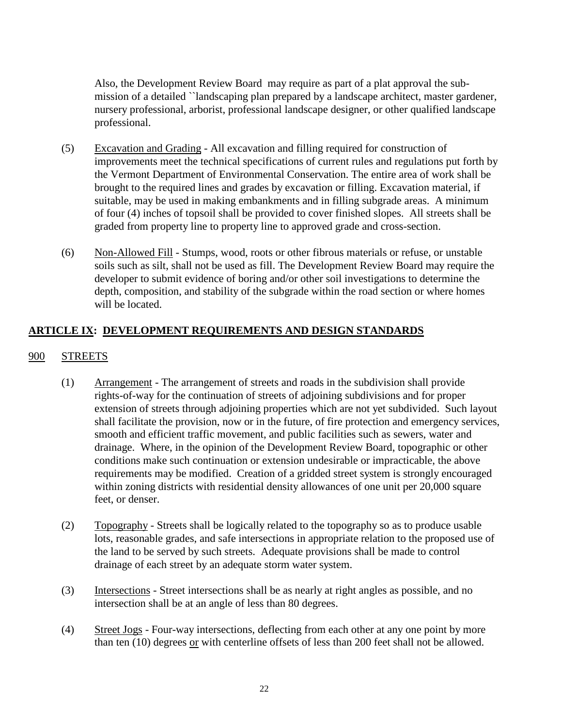Also, the Development Review Board may require as part of a plat approval the submission of a detailed ``landscaping plan prepared by a landscape architect, master gardener, nursery professional, arborist, professional landscape designer, or other qualified landscape professional.

- (5) Excavation and Grading All excavation and filling required for construction of improvements meet the technical specifications of current rules and regulations put forth by the Vermont Department of Environmental Conservation. The entire area of work shall be brought to the required lines and grades by excavation or filling. Excavation material, if suitable, may be used in making embankments and in filling subgrade areas. A minimum of four (4) inches of topsoil shall be provided to cover finished slopes. All streets shall be graded from property line to property line to approved grade and cross-section.
- (6) Non-Allowed Fill Stumps, wood, roots or other fibrous materials or refuse, or unstable soils such as silt, shall not be used as fill. The Development Review Board may require the developer to submit evidence of boring and/or other soil investigations to determine the depth, composition, and stability of the subgrade within the road section or where homes will be located.

# **ARTICLE IX: DEVELOPMENT REQUIREMENTS AND DESIGN STANDARDS**

# 900 STREETS

- (1) Arrangement The arrangement of streets and roads in the subdivision shall provide rights-of-way for the continuation of streets of adjoining subdivisions and for proper extension of streets through adjoining properties which are not yet subdivided. Such layout shall facilitate the provision, now or in the future, of fire protection and emergency services, smooth and efficient traffic movement, and public facilities such as sewers, water and drainage. Where, in the opinion of the Development Review Board, topographic or other conditions make such continuation or extension undesirable or impracticable, the above requirements may be modified. Creation of a gridded street system is strongly encouraged within zoning districts with residential density allowances of one unit per 20,000 square feet, or denser.
- (2) Topography Streets shall be logically related to the topography so as to produce usable lots, reasonable grades, and safe intersections in appropriate relation to the proposed use of the land to be served by such streets. Adequate provisions shall be made to control drainage of each street by an adequate storm water system.
- (3) Intersections Street intersections shall be as nearly at right angles as possible, and no intersection shall be at an angle of less than 80 degrees.
- (4) Street Jogs Four-way intersections, deflecting from each other at any one point by more than ten (10) degrees or with centerline offsets of less than 200 feet shall not be allowed.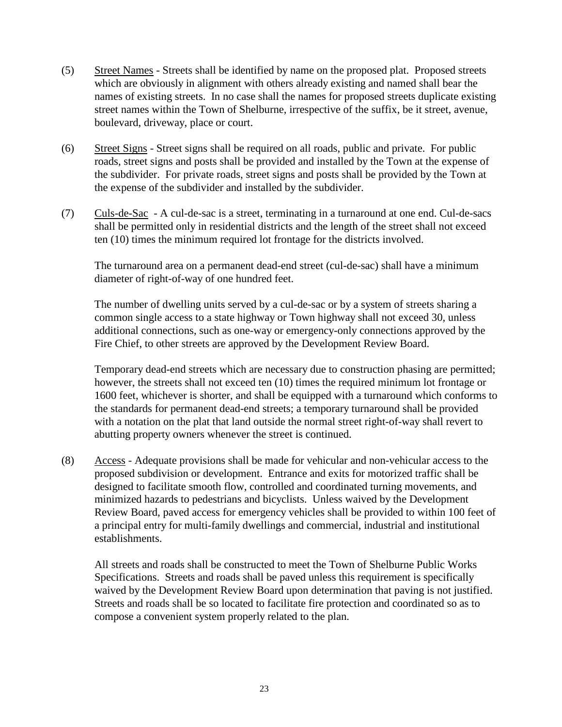- (5) Street Names Streets shall be identified by name on the proposed plat. Proposed streets which are obviously in alignment with others already existing and named shall bear the names of existing streets. In no case shall the names for proposed streets duplicate existing street names within the Town of Shelburne, irrespective of the suffix, be it street, avenue, boulevard, driveway, place or court.
- (6) Street Signs Street signs shall be required on all roads, public and private. For public roads, street signs and posts shall be provided and installed by the Town at the expense of the subdivider. For private roads, street signs and posts shall be provided by the Town at the expense of the subdivider and installed by the subdivider.
- (7) Culs-de-Sac A cul-de-sac is a street, terminating in a turnaround at one end. Cul-de-sacs shall be permitted only in residential districts and the length of the street shall not exceed ten (10) times the minimum required lot frontage for the districts involved.

The turnaround area on a permanent dead-end street (cul-de-sac) shall have a minimum diameter of right-of-way of one hundred feet.

The number of dwelling units served by a cul-de-sac or by a system of streets sharing a common single access to a state highway or Town highway shall not exceed 30, unless additional connections, such as one-way or emergency-only connections approved by the Fire Chief, to other streets are approved by the Development Review Board.

Temporary dead-end streets which are necessary due to construction phasing are permitted; however, the streets shall not exceed ten (10) times the required minimum lot frontage or 1600 feet, whichever is shorter, and shall be equipped with a turnaround which conforms to the standards for permanent dead-end streets; a temporary turnaround shall be provided with a notation on the plat that land outside the normal street right-of-way shall revert to abutting property owners whenever the street is continued.

(8) Access - Adequate provisions shall be made for vehicular and non-vehicular access to the proposed subdivision or development. Entrance and exits for motorized traffic shall be designed to facilitate smooth flow, controlled and coordinated turning movements, and minimized hazards to pedestrians and bicyclists. Unless waived by the Development Review Board, paved access for emergency vehicles shall be provided to within 100 feet of a principal entry for multi-family dwellings and commercial, industrial and institutional establishments.

All streets and roads shall be constructed to meet the Town of Shelburne Public Works Specifications. Streets and roads shall be paved unless this requirement is specifically waived by the Development Review Board upon determination that paving is not justified. Streets and roads shall be so located to facilitate fire protection and coordinated so as to compose a convenient system properly related to the plan.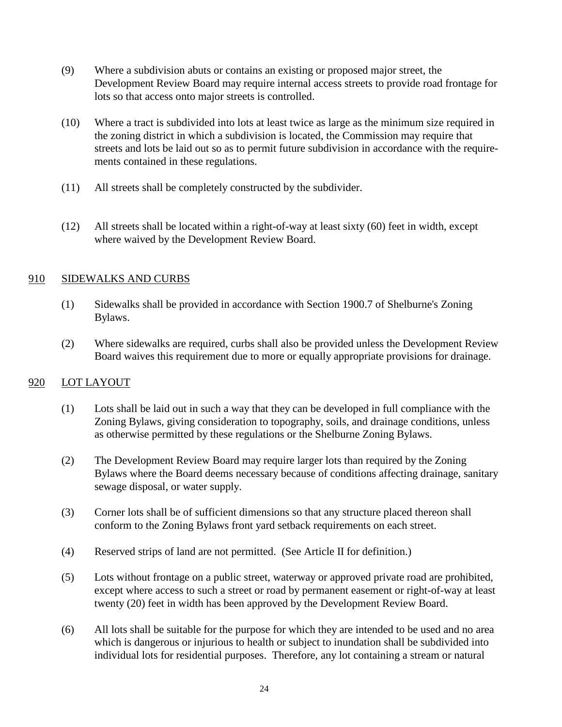- (9) Where a subdivision abuts or contains an existing or proposed major street, the Development Review Board may require internal access streets to provide road frontage for lots so that access onto major streets is controlled.
- (10) Where a tract is subdivided into lots at least twice as large as the minimum size required in the zoning district in which a subdivision is located, the Commission may require that streets and lots be laid out so as to permit future subdivision in accordance with the requirements contained in these regulations.
- (11) All streets shall be completely constructed by the subdivider.
- (12) All streets shall be located within a right-of-way at least sixty (60) feet in width, except where waived by the Development Review Board.

# 910 SIDEWALKS AND CURBS

- (1) Sidewalks shall be provided in accordance with Section 1900.7 of Shelburne's Zoning Bylaws.
- (2) Where sidewalks are required, curbs shall also be provided unless the Development Review Board waives this requirement due to more or equally appropriate provisions for drainage.

# 920 LOT LAYOUT

- (1) Lots shall be laid out in such a way that they can be developed in full compliance with the Zoning Bylaws, giving consideration to topography, soils, and drainage conditions, unless as otherwise permitted by these regulations or the Shelburne Zoning Bylaws.
- (2) The Development Review Board may require larger lots than required by the Zoning Bylaws where the Board deems necessary because of conditions affecting drainage, sanitary sewage disposal, or water supply.
- (3) Corner lots shall be of sufficient dimensions so that any structure placed thereon shall conform to the Zoning Bylaws front yard setback requirements on each street.
- (4) Reserved strips of land are not permitted. (See Article II for definition.)
- (5) Lots without frontage on a public street, waterway or approved private road are prohibited, except where access to such a street or road by permanent easement or right-of-way at least twenty (20) feet in width has been approved by the Development Review Board.
- (6) All lots shall be suitable for the purpose for which they are intended to be used and no area which is dangerous or injurious to health or subject to inundation shall be subdivided into individual lots for residential purposes. Therefore, any lot containing a stream or natural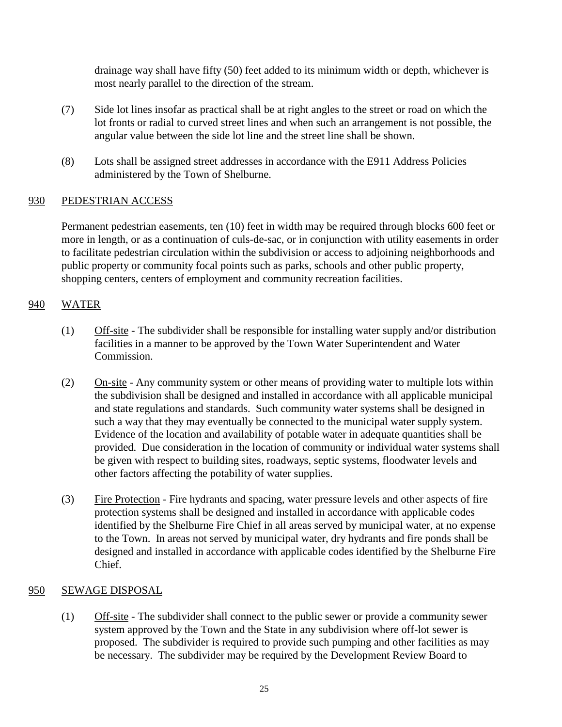drainage way shall have fifty (50) feet added to its minimum width or depth, whichever is most nearly parallel to the direction of the stream.

- (7) Side lot lines insofar as practical shall be at right angles to the street or road on which the lot fronts or radial to curved street lines and when such an arrangement is not possible, the angular value between the side lot line and the street line shall be shown.
- (8) Lots shall be assigned street addresses in accordance with the E911 Address Policies administered by the Town of Shelburne.

# 930 PEDESTRIAN ACCESS

Permanent pedestrian easements, ten (10) feet in width may be required through blocks 600 feet or more in length, or as a continuation of culs-de-sac, or in conjunction with utility easements in order to facilitate pedestrian circulation within the subdivision or access to adjoining neighborhoods and public property or community focal points such as parks, schools and other public property, shopping centers, centers of employment and community recreation facilities.

# 940 WATER

- (1) Off-site The subdivider shall be responsible for installing water supply and/or distribution facilities in a manner to be approved by the Town Water Superintendent and Water Commission.
- (2) On-site Any community system or other means of providing water to multiple lots within the subdivision shall be designed and installed in accordance with all applicable municipal and state regulations and standards. Such community water systems shall be designed in such a way that they may eventually be connected to the municipal water supply system. Evidence of the location and availability of potable water in adequate quantities shall be provided. Due consideration in the location of community or individual water systems shall be given with respect to building sites, roadways, septic systems, floodwater levels and other factors affecting the potability of water supplies.
- (3) Fire Protection Fire hydrants and spacing, water pressure levels and other aspects of fire protection systems shall be designed and installed in accordance with applicable codes identified by the Shelburne Fire Chief in all areas served by municipal water, at no expense to the Town. In areas not served by municipal water, dry hydrants and fire ponds shall be designed and installed in accordance with applicable codes identified by the Shelburne Fire Chief.

# 950 SEWAGE DISPOSAL

(1) Off-site - The subdivider shall connect to the public sewer or provide a community sewer system approved by the Town and the State in any subdivision where off-lot sewer is proposed. The subdivider is required to provide such pumping and other facilities as may be necessary. The subdivider may be required by the Development Review Board to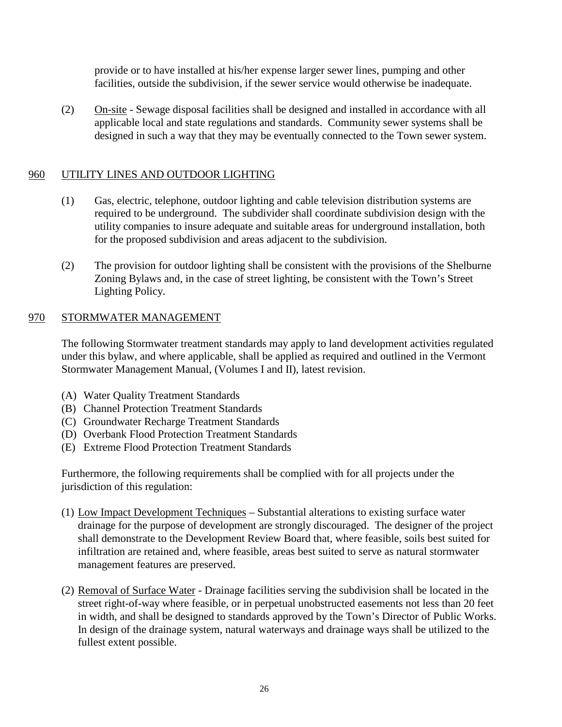provide or to have installed at his/her expense larger sewer lines, pumping and other facilities, outside the subdivision, if the sewer service would otherwise be inadequate.

(2) On-site - Sewage disposal facilities shall be designed and installed in accordance with all applicable local and state regulations and standards. Community sewer systems shall be designed in such a way that they may be eventually connected to the Town sewer system.

# 960 UTILITY LINES AND OUTDOOR LIGHTING

- (1) Gas, electric, telephone, outdoor lighting and cable television distribution systems are required to be underground. The subdivider shall coordinate subdivision design with the utility companies to insure adequate and suitable areas for underground installation, both for the proposed subdivision and areas adjacent to the subdivision.
- (2) The provision for outdoor lighting shall be consistent with the provisions of the Shelburne Zoning Bylaws and, in the case of street lighting, be consistent with the Town's Street Lighting Policy.

# 970 STORMWATER MANAGEMENT

The following Stormwater treatment standards may apply to land development activities regulated under this bylaw, and where applicable, shall be applied as required and outlined in the Vermont Stormwater Management Manual, (Volumes I and II), latest revision.

- (A) Water Quality Treatment Standards
- (B) Channel Protection Treatment Standards
- (C) Groundwater Recharge Treatment Standards
- (D) Overbank Flood Protection Treatment Standards
- (E) Extreme Flood Protection Treatment Standards

Furthermore, the following requirements shall be complied with for all projects under the jurisdiction of this regulation:

- (1) Low Impact Development Techniques Substantial alterations to existing surface water drainage for the purpose of development are strongly discouraged. The designer of the project shall demonstrate to the Development Review Board that, where feasible, soils best suited for infiltration are retained and, where feasible, areas best suited to serve as natural stormwater management features are preserved.
- (2) Removal of Surface Water Drainage facilities serving the subdivision shall be located in the street right-of-way where feasible, or in perpetual unobstructed easements not less than 20 feet in width, and shall be designed to standards approved by the Town's Director of Public Works. In design of the drainage system, natural waterways and drainage ways shall be utilized to the fullest extent possible.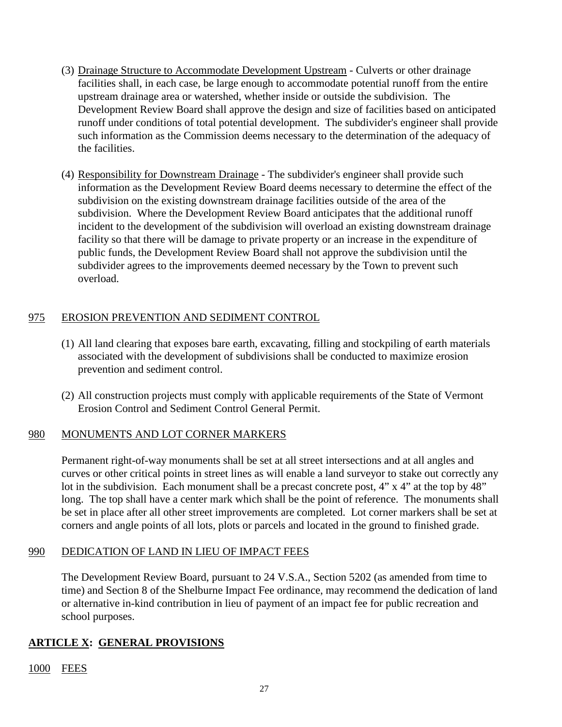- (3) Drainage Structure to Accommodate Development Upstream Culverts or other drainage facilities shall, in each case, be large enough to accommodate potential runoff from the entire upstream drainage area or watershed, whether inside or outside the subdivision. The Development Review Board shall approve the design and size of facilities based on anticipated runoff under conditions of total potential development. The subdivider's engineer shall provide such information as the Commission deems necessary to the determination of the adequacy of the facilities.
- (4) Responsibility for Downstream Drainage The subdivider's engineer shall provide such information as the Development Review Board deems necessary to determine the effect of the subdivision on the existing downstream drainage facilities outside of the area of the subdivision. Where the Development Review Board anticipates that the additional runoff incident to the development of the subdivision will overload an existing downstream drainage facility so that there will be damage to private property or an increase in the expenditure of public funds, the Development Review Board shall not approve the subdivision until the subdivider agrees to the improvements deemed necessary by the Town to prevent such overload.

# 975 EROSION PREVENTION AND SEDIMENT CONTROL

- (1) All land clearing that exposes bare earth, excavating, filling and stockpiling of earth materials associated with the development of subdivisions shall be conducted to maximize erosion prevention and sediment control.
- (2) All construction projects must comply with applicable requirements of the State of Vermont Erosion Control and Sediment Control General Permit.

# 980 MONUMENTS AND LOT CORNER MARKERS

Permanent right-of-way monuments shall be set at all street intersections and at all angles and curves or other critical points in street lines as will enable a land surveyor to stake out correctly any lot in the subdivision. Each monument shall be a precast concrete post, 4" x 4" at the top by 48" long. The top shall have a center mark which shall be the point of reference. The monuments shall be set in place after all other street improvements are completed. Lot corner markers shall be set at corners and angle points of all lots, plots or parcels and located in the ground to finished grade.

# 990 DEDICATION OF LAND IN LIEU OF IMPACT FEES

The Development Review Board, pursuant to 24 V.S.A., Section 5202 (as amended from time to time) and Section 8 of the Shelburne Impact Fee ordinance, may recommend the dedication of land or alternative in-kind contribution in lieu of payment of an impact fee for public recreation and school purposes.

# **ARTICLE X: GENERAL PROVISIONS**

1000 FEES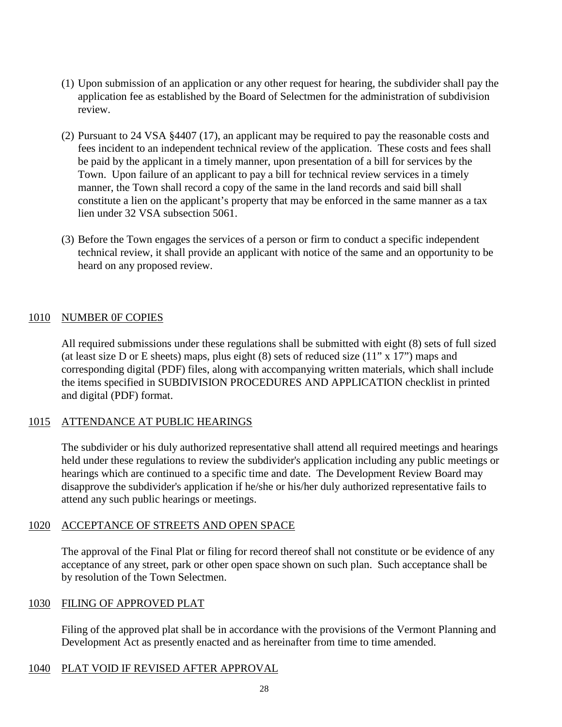- (1) Upon submission of an application or any other request for hearing, the subdivider shall pay the application fee as established by the Board of Selectmen for the administration of subdivision review.
- (2) Pursuant to 24 VSA §4407 (17), an applicant may be required to pay the reasonable costs and fees incident to an independent technical review of the application. These costs and fees shall be paid by the applicant in a timely manner, upon presentation of a bill for services by the Town. Upon failure of an applicant to pay a bill for technical review services in a timely manner, the Town shall record a copy of the same in the land records and said bill shall constitute a lien on the applicant's property that may be enforced in the same manner as a tax lien under 32 VSA subsection 5061.
- (3) Before the Town engages the services of a person or firm to conduct a specific independent technical review, it shall provide an applicant with notice of the same and an opportunity to be heard on any proposed review.

# 1010 NUMBER 0F COPIES

All required submissions under these regulations shall be submitted with eight (8) sets of full sized (at least size D or E sheets) maps, plus eight  $(8)$  sets of reduced size  $(11" \times 17")$  maps and corresponding digital (PDF) files, along with accompanying written materials, which shall include the items specified in SUBDIVISION PROCEDURES AND APPLICATION checklist in printed and digital (PDF) format.

# 1015 ATTENDANCE AT PUBLIC HEARINGS

The subdivider or his duly authorized representative shall attend all required meetings and hearings held under these regulations to review the subdivider's application including any public meetings or hearings which are continued to a specific time and date. The Development Review Board may disapprove the subdivider's application if he/she or his/her duly authorized representative fails to attend any such public hearings or meetings.

# 1020 ACCEPTANCE OF STREETS AND OPEN SPACE

The approval of the Final Plat or filing for record thereof shall not constitute or be evidence of any acceptance of any street, park or other open space shown on such plan. Such acceptance shall be by resolution of the Town Selectmen.

# 1030 FILING OF APPROVED PLAT

Filing of the approved plat shall be in accordance with the provisions of the Vermont Planning and Development Act as presently enacted and as hereinafter from time to time amended.

#### 1040 PLAT VOID IF REVISED AFTER APPROVAL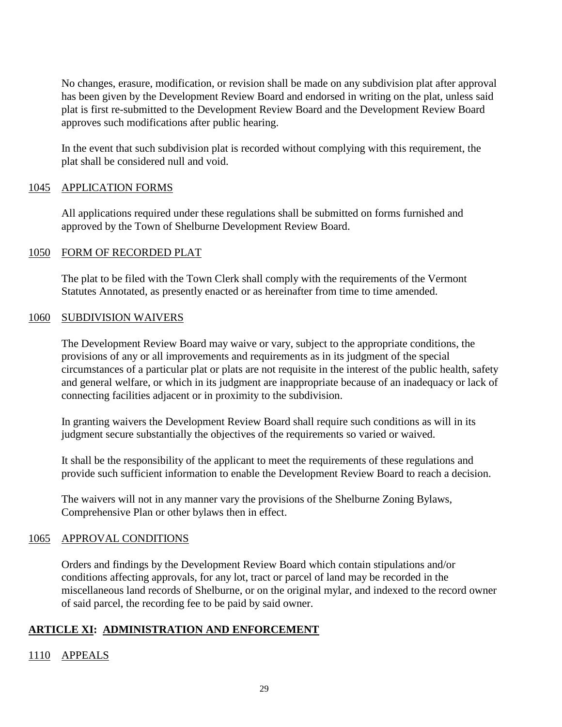No changes, erasure, modification, or revision shall be made on any subdivision plat after approval has been given by the Development Review Board and endorsed in writing on the plat, unless said plat is first re-submitted to the Development Review Board and the Development Review Board approves such modifications after public hearing.

In the event that such subdivision plat is recorded without complying with this requirement, the plat shall be considered null and void.

# 1045 APPLICATION FORMS

All applications required under these regulations shall be submitted on forms furnished and approved by the Town of Shelburne Development Review Board.

# 1050 FORM OF RECORDED PLAT

The plat to be filed with the Town Clerk shall comply with the requirements of the Vermont Statutes Annotated, as presently enacted or as hereinafter from time to time amended.

# 1060 SUBDIVISION WAIVERS

The Development Review Board may waive or vary, subject to the appropriate conditions, the provisions of any or all improvements and requirements as in its judgment of the special circumstances of a particular plat or plats are not requisite in the interest of the public health, safety and general welfare, or which in its judgment are inappropriate because of an inadequacy or lack of connecting facilities adjacent or in proximity to the subdivision.

In granting waivers the Development Review Board shall require such conditions as will in its judgment secure substantially the objectives of the requirements so varied or waived.

It shall be the responsibility of the applicant to meet the requirements of these regulations and provide such sufficient information to enable the Development Review Board to reach a decision.

The waivers will not in any manner vary the provisions of the Shelburne Zoning Bylaws, Comprehensive Plan or other bylaws then in effect.

# 1065 APPROVAL CONDITIONS

Orders and findings by the Development Review Board which contain stipulations and/or conditions affecting approvals, for any lot, tract or parcel of land may be recorded in the miscellaneous land records of Shelburne, or on the original mylar, and indexed to the record owner of said parcel, the recording fee to be paid by said owner.

# **ARTICLE XI: ADMINISTRATION AND ENFORCEMENT**

# 1110 APPEALS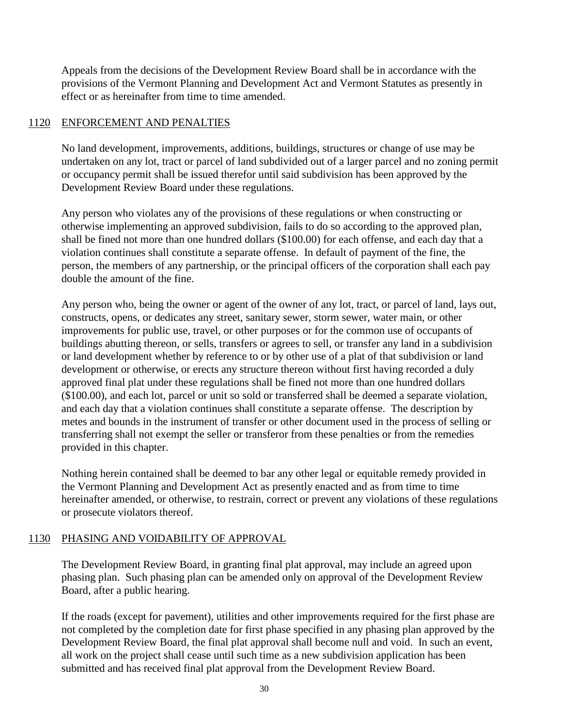Appeals from the decisions of the Development Review Board shall be in accordance with the provisions of the Vermont Planning and Development Act and Vermont Statutes as presently in effect or as hereinafter from time to time amended.

# 1120 ENFORCEMENT AND PENALTIES

No land development, improvements, additions, buildings, structures or change of use may be undertaken on any lot, tract or parcel of land subdivided out of a larger parcel and no zoning permit or occupancy permit shall be issued therefor until said subdivision has been approved by the Development Review Board under these regulations.

Any person who violates any of the provisions of these regulations or when constructing or otherwise implementing an approved subdivision, fails to do so according to the approved plan, shall be fined not more than one hundred dollars (\$100.00) for each offense, and each day that a violation continues shall constitute a separate offense. In default of payment of the fine, the person, the members of any partnership, or the principal officers of the corporation shall each pay double the amount of the fine.

Any person who, being the owner or agent of the owner of any lot, tract, or parcel of land, lays out, constructs, opens, or dedicates any street, sanitary sewer, storm sewer, water main, or other improvements for public use, travel, or other purposes or for the common use of occupants of buildings abutting thereon, or sells, transfers or agrees to sell, or transfer any land in a subdivision or land development whether by reference to or by other use of a plat of that subdivision or land development or otherwise, or erects any structure thereon without first having recorded a duly approved final plat under these regulations shall be fined not more than one hundred dollars (\$100.00), and each lot, parcel or unit so sold or transferred shall be deemed a separate violation, and each day that a violation continues shall constitute a separate offense. The description by metes and bounds in the instrument of transfer or other document used in the process of selling or transferring shall not exempt the seller or transferor from these penalties or from the remedies provided in this chapter.

Nothing herein contained shall be deemed to bar any other legal or equitable remedy provided in the Vermont Planning and Development Act as presently enacted and as from time to time hereinafter amended, or otherwise, to restrain, correct or prevent any violations of these regulations or prosecute violators thereof.

# 1130 PHASING AND VOIDABILITY OF APPROVAL

The Development Review Board, in granting final plat approval, may include an agreed upon phasing plan. Such phasing plan can be amended only on approval of the Development Review Board, after a public hearing.

If the roads (except for pavement), utilities and other improvements required for the first phase are not completed by the completion date for first phase specified in any phasing plan approved by the Development Review Board, the final plat approval shall become null and void. In such an event, all work on the project shall cease until such time as a new subdivision application has been submitted and has received final plat approval from the Development Review Board.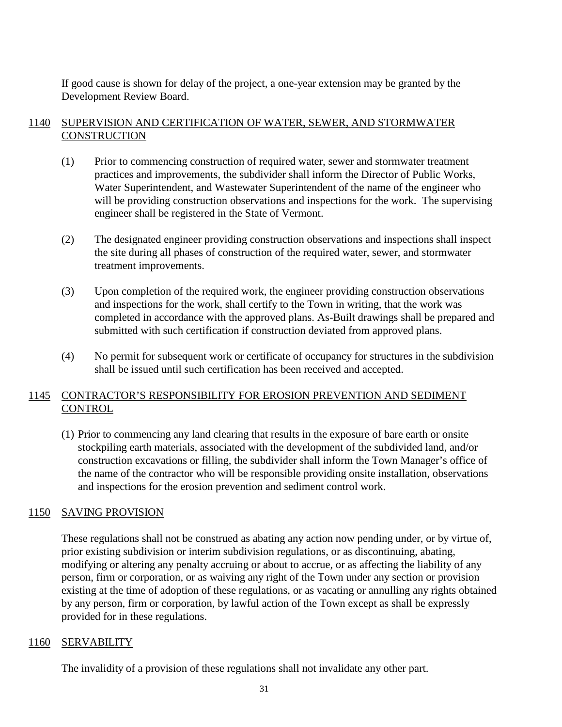If good cause is shown for delay of the project, a one-year extension may be granted by the Development Review Board.

# 1140 SUPERVISION AND CERTIFICATION OF WATER, SEWER, AND STORMWATER **CONSTRUCTION**

- (1) Prior to commencing construction of required water, sewer and stormwater treatment practices and improvements, the subdivider shall inform the Director of Public Works, Water Superintendent, and Wastewater Superintendent of the name of the engineer who will be providing construction observations and inspections for the work. The supervising engineer shall be registered in the State of Vermont.
- (2) The designated engineer providing construction observations and inspections shall inspect the site during all phases of construction of the required water, sewer, and stormwater treatment improvements.
- (3) Upon completion of the required work, the engineer providing construction observations and inspections for the work, shall certify to the Town in writing, that the work was completed in accordance with the approved plans. As-Built drawings shall be prepared and submitted with such certification if construction deviated from approved plans.
- (4) No permit for subsequent work or certificate of occupancy for structures in the subdivision shall be issued until such certification has been received and accepted.

# 1145 CONTRACTOR'S RESPONSIBILITY FOR EROSION PREVENTION AND SEDIMENT **CONTROL**

(1) Prior to commencing any land clearing that results in the exposure of bare earth or onsite stockpiling earth materials, associated with the development of the subdivided land, and/or construction excavations or filling, the subdivider shall inform the Town Manager's office of the name of the contractor who will be responsible providing onsite installation, observations and inspections for the erosion prevention and sediment control work.

# 1150 SAVING PROVISION

These regulations shall not be construed as abating any action now pending under, or by virtue of, prior existing subdivision or interim subdivision regulations, or as discontinuing, abating, modifying or altering any penalty accruing or about to accrue, or as affecting the liability of any person, firm or corporation, or as waiving any right of the Town under any section or provision existing at the time of adoption of these regulations, or as vacating or annulling any rights obtained by any person, firm or corporation, by lawful action of the Town except as shall be expressly provided for in these regulations.

#### 1160 SERVABILITY

The invalidity of a provision of these regulations shall not invalidate any other part.